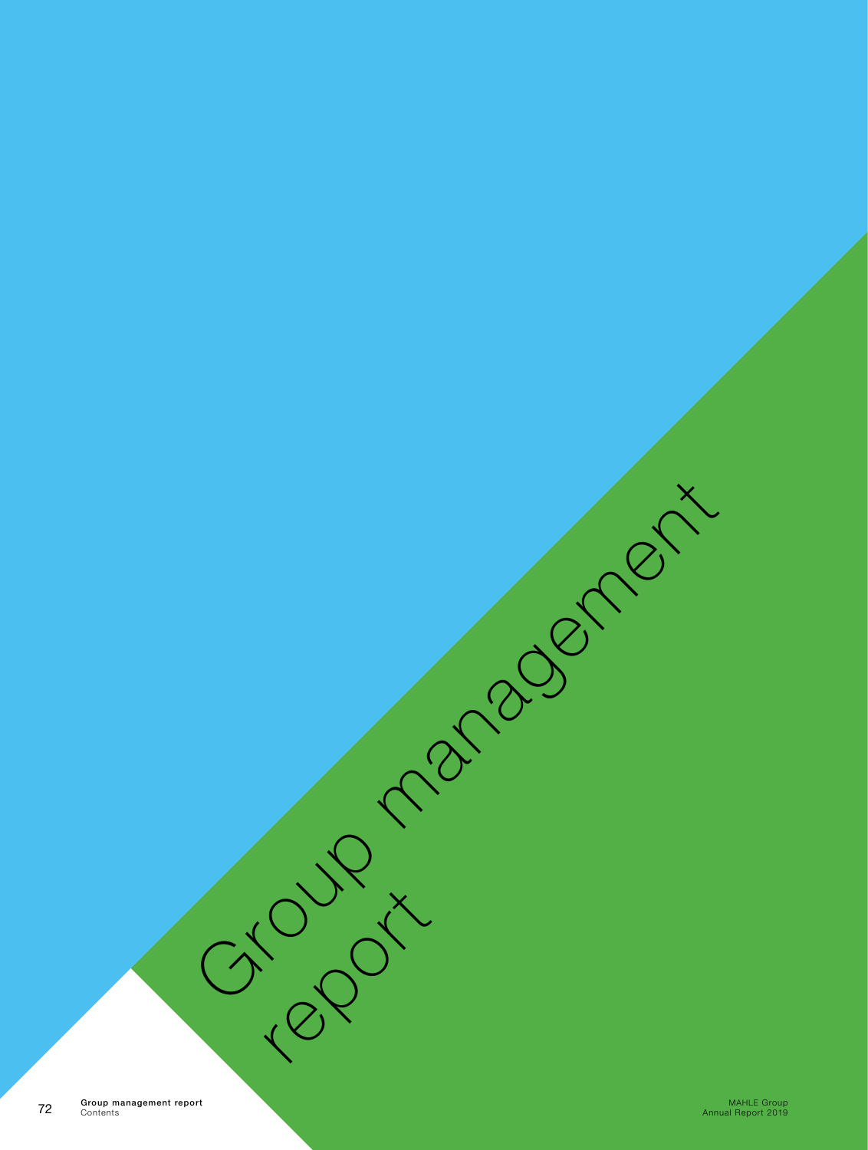ما المسابق المسابق المسابق المسابق المسابق المسابق المسابق المسابق المسابق المسابق المسابق المسابق المسابق المس<br>2019 Annual Report 2019 المسابق المسابق المسابق المسابق المسابق المسابق المسابق المسابق المسابق المسابق المسا Group management report Contents

Group management

report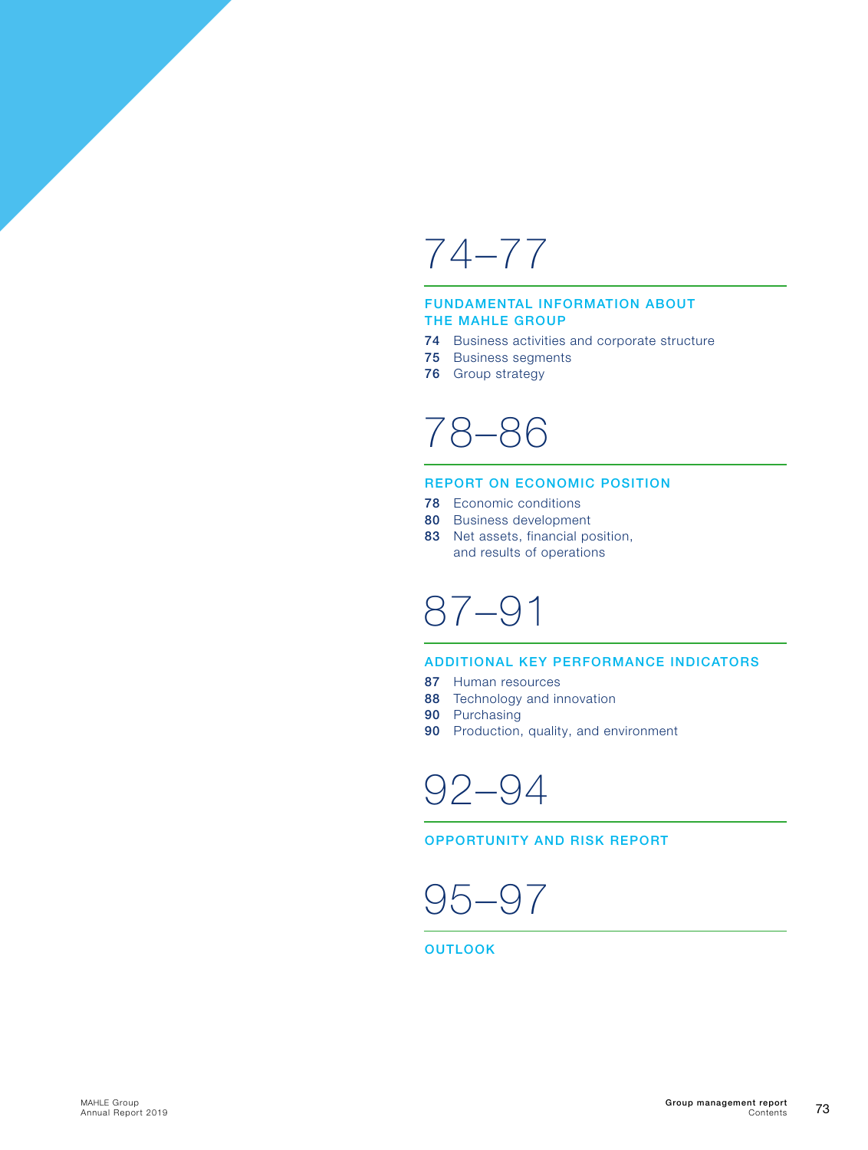## [74–77](#page-2-0)

#### [FUNDAMENTAL INFORMATION ABOUT](#page-2-0)  [THE MAHLE GROUP](#page-2-0)

- 74 [Business activities and corporate structure](#page-2-0)
- 75 [Business segments](#page-3-0)
- 76 [Group strategy](#page-4-0)

## [78–86](#page-6-0)

#### [REPORT ON ECONOMIC POSITION](#page-6-0)

- 78 [Economic conditions](#page-6-0)
- 80 [Business development](#page-8-0)
- 83 Net assets, financial position, [and results of operations](#page-11-0)

## [87–91](#page-15-0)

#### [ADDITIONAL KEY PERFORMANCE INDICATORS](#page-15-0)

- 87 [Human resources](#page-15-0)
- 88 [Technology and innovation](#page-16-0)
- 90 [Purchasing](#page-18-0)
- 90 [Production, quality, and environment](#page-18-0)

[92–94](#page-20-0)

[OPPORTUNITY AND RISK REPORT](#page-20-0)

$$
95-97
$$

**[OUTLOOK](#page-23-0)**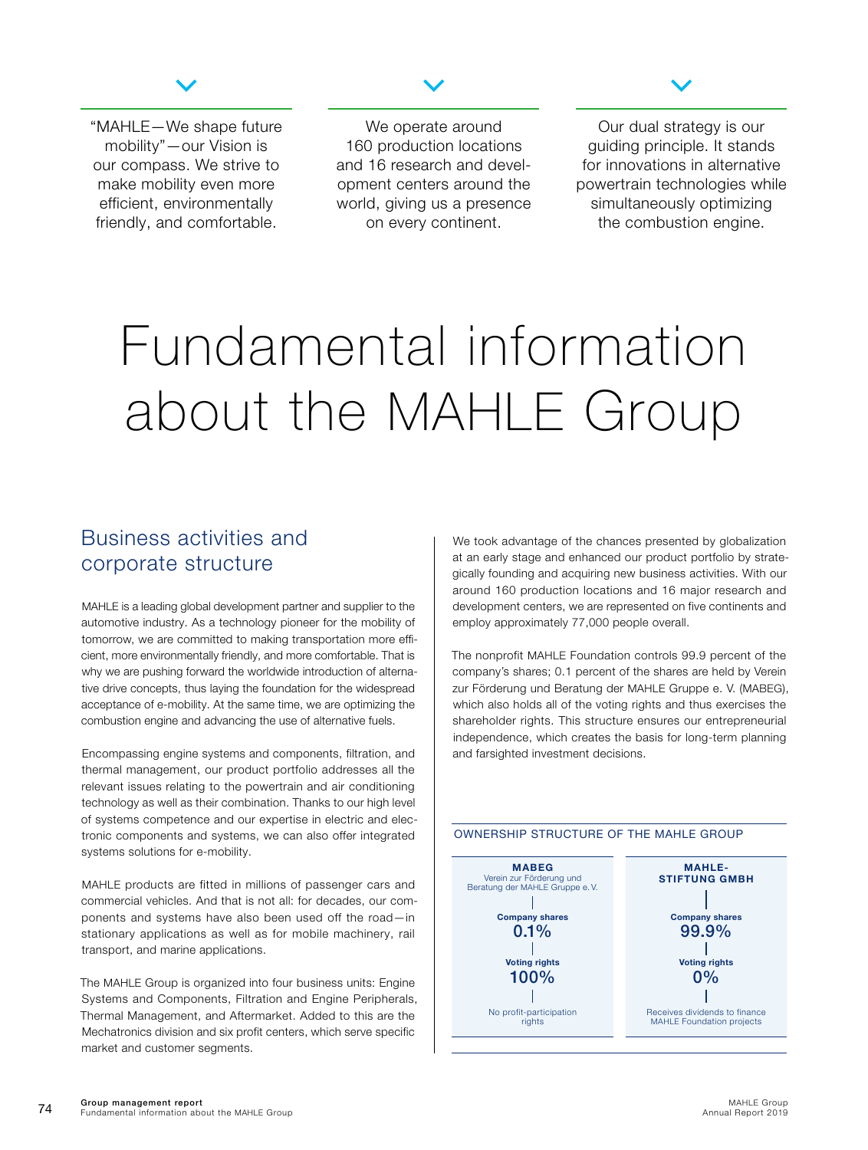

<span id="page-2-0"></span>"MAHLE—We shape future mobility"—our Vision is our compass. We strive to make mobility even more efficient, environmentally friendly, and comfortable.

We operate around 160 production locations and 16 research and development centers around the world, giving us a presence on every continent.



Our dual strategy is our guiding principle. It stands for innovations in alternative powertrain technologies while simultaneously optimizing the combustion engine.

# Fundamental information about the MAHLE Group

### Business activities and corporate structure

MAHLE is a leading global development partner and supplier to the automotive industry. As a technology pioneer for the mobility of tomorrow, we are committed to making transportation more efficient, more environmentally friendly, and more comfortable. That is why we are pushing forward the worldwide introduction of alternative drive concepts, thus laying the foundation for the widespread acceptance of e-mobility. At the same time, we are optimizing the combustion engine and advancing the use of alternative fuels.

Encompassing engine systems and components, filtration, and thermal management, our product portfolio addresses all the relevant issues relating to the powertrain and air conditioning technology as well as their combination. Thanks to our high level of systems competence and our expertise in electric and electronic components and systems, we can also offer integrated systems solutions for e-mobility.

MAHLE products are fitted in millions of passenger cars and commercial vehicles. And that is not all: for decades, our components and systems have also been used off the road—in stationary applications as well as for mobile machinery, rail transport, and marine applications.

The MAHLE Group is organized into four business units: Engine Systems and Components, Filtration and Engine Peripherals, Thermal Management, and Aftermarket. Added to this are the Mechatronics division and six profit centers, which serve specific market and customer segments.

We took advantage of the chances presented by globalization at an early stage and enhanced our product portfolio by strategically founding and acquiring new business activities. With our around 160 production locations and 16 major research and development centers, we are represented on five continents and employ approximately 77,000 people overall.

The nonprofit MAHLE Foundation controls 99.9 percent of the company's shares; 0.1 percent of the shares are held by Verein zur Förderung und Beratung der MAHLE Gruppe e. V. (MABEG), which also holds all of the voting rights and thus exercises the shareholder rights. This structure ensures our entrepreneurial independence, which creates the basis for long-term planning and farsighted investment decisions.



#### OWNERSHIP STRUCTURE OF THE MAHLE GROUP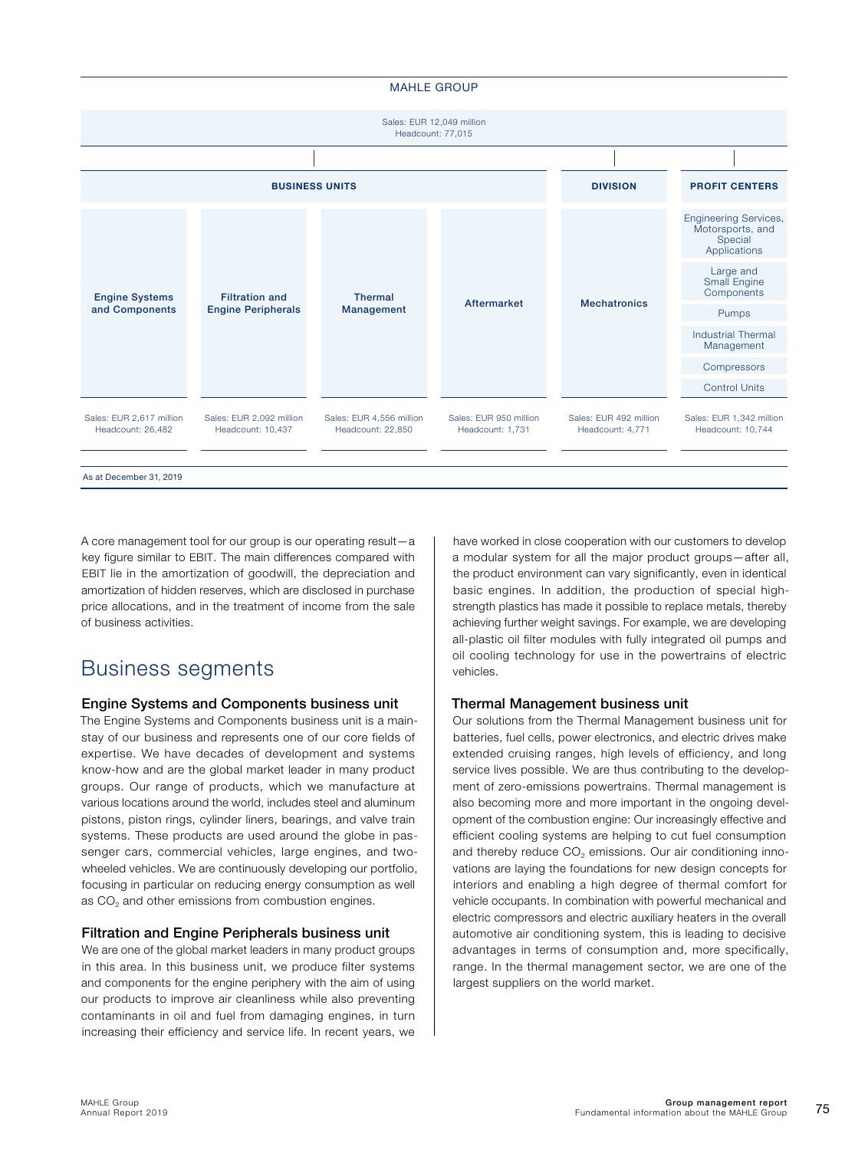#### MAHLE GROUP

<span id="page-3-0"></span>

A core management tool for our group is our operating result—a key figure similar to EBIT. The main differences compared with EBIT lie in the amortization of goodwill, the depreciation and amortization of hidden reserves, which are disclosed in purchase price allocations, and in the treatment of income from the sale of business activities.

## Business segments

#### Engine Systems and Components business unit

The Engine Systems and Components business unit is a mainstay of our business and represents one of our core fields of expertise. We have decades of development and systems know-how and are the global market leader in many product groups. Our range of products, which we manufacture at various locations around the world, includes steel and aluminum pistons, piston rings, cylinder liners, bearings, and valve train systems. These products are used around the globe in passenger cars, commercial vehicles, large engines, and twowheeled vehicles. We are continuously developing our portfolio, focusing in particular on reducing energy consumption as well as CO<sub>2</sub> and other emissions from combustion engines.

#### Filtration and Engine Peripherals business unit

We are one of the global market leaders in many product groups in this area. In this business unit, we produce filter systems and components for the engine periphery with the aim of using our products to improve air cleanliness while also preventing contaminants in oil and fuel from damaging engines, in turn increasing their efficiency and service life. In recent years, we

have worked in close cooperation with our customers to develop a modular system for all the major product groups—after all, the product environment can vary significantly, even in identical basic engines. In addition, the production of special highstrength plastics has made it possible to replace metals, thereby achieving further weight savings. For example, we are developing all-plastic oil filter modules with fully integrated oil pumps and oil cooling technology for use in the powertrains of electric vehicles.

#### Thermal Management business unit

Our solutions from the Thermal Management business unit for batteries, fuel cells, power electronics, and electric drives make extended cruising ranges, high levels of efficiency, and long service lives possible. We are thus contributing to the development of zero-emissions powertrains. Thermal management is also becoming more and more important in the ongoing development of the combustion engine: Our increasingly effective and efficient cooling systems are helping to cut fuel consumption and thereby reduce  $CO<sub>2</sub>$  emissions. Our air conditioning innovations are laying the foundations for new design concepts for interiors and enabling a high degree of thermal comfort for vehicle occupants. In combination with powerful mechanical and electric compressors and electric auxiliary heaters in the overall automotive air conditioning system, this is leading to decisive advantages in terms of consumption and, more specifically, range. In the thermal management sector, we are one of the largest suppliers on the world market.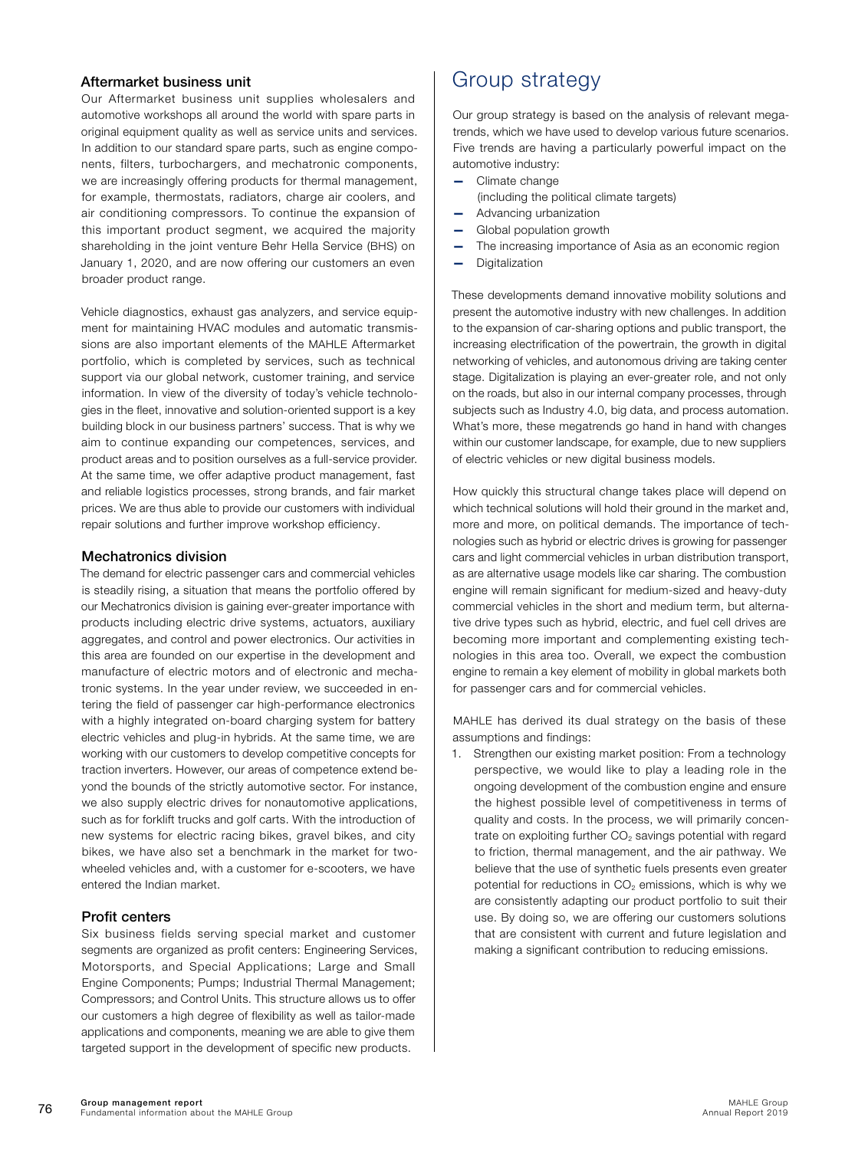#### <span id="page-4-0"></span>Aftermarket business unit

Our Aftermarket business unit supplies wholesalers and automotive workshops all around the world with spare parts in original equipment quality as well as service units and services. In addition to our standard spare parts, such as engine components, filters, turbochargers, and mechatronic components, we are increasingly offering products for thermal management, for example, thermostats, radiators, charge air coolers, and air conditioning compressors. To continue the expansion of this important product segment, we acquired the majority shareholding in the joint venture Behr Hella Service (BHS) on January 1, 2020, and are now offering our customers an even broader product range.

Vehicle diagnostics, exhaust gas analyzers, and service equipment for maintaining HVAC modules and automatic transmissions are also important elements of the MAHLE Aftermarket portfolio, which is completed by services, such as technical support via our global network, customer training, and service information. In view of the diversity of today's vehicle technologies in the fleet, innovative and solution-oriented support is a key building block in our business partners' success. That is why we aim to continue expanding our competences, services, and product areas and to position ourselves as a full-service provider. At the same time, we offer adaptive product management, fast and reliable logistics processes, strong brands, and fair market prices. We are thus able to provide our customers with individual repair solutions and further improve workshop efficiency.

#### Mechatronics division

The demand for electric passenger cars and commercial vehicles is steadily rising, a situation that means the portfolio offered by our Mechatronics division is gaining ever-greater importance with products including electric drive systems, actuators, auxiliary aggregates, and control and power electronics. Our activities in this area are founded on our expertise in the development and manufacture of electric motors and of electronic and mechatronic systems. In the year under review, we succeeded in entering the field of passenger car high-performance electronics with a highly integrated on-board charging system for battery electric vehicles and plug-in hybrids. At the same time, we are working with our customers to develop competitive concepts for traction inverters. However, our areas of competence extend beyond the bounds of the strictly automotive sector. For instance, we also supply electric drives for nonautomotive applications, such as for forklift trucks and golf carts. With the introduction of new systems for electric racing bikes, gravel bikes, and city bikes, we have also set a benchmark in the market for twowheeled vehicles and, with a customer for e-scooters, we have entered the Indian market.

#### Profit centers

Six business fields serving special market and customer segments are organized as profit centers: Engineering Services, Motorsports, and Special Applications: Large and Small Engine Components; Pumps; Industrial Thermal Management; Compressors; and Control Units. This structure allows us to offer our customers a high degree of flexibility as well as tailor-made applications and components, meaning we are able to give them targeted support in the development of specific new products.

### Group strategy

Our group strategy is based on the analysis of relevant megatrends, which we have used to develop various future scenarios. Five trends are having a particularly powerful impact on the automotive industry:

- Climate change
	- (including the political climate targets)
- Advancing urbanization
- Global population growth
- The increasing importance of Asia as an economic region
- Digitalization

These developments demand innovative mobility solutions and present the automotive industry with new challenges. In addition to the expansion of car-sharing options and public transport, the increasing electrification of the powertrain, the growth in digital networking of vehicles, and autonomous driving are taking center stage. Digitalization is playing an ever-greater role, and not only on the roads, but also in our internal company processes, through subjects such as Industry 4.0, big data, and process automation. What's more, these megatrends go hand in hand with changes within our customer landscape, for example, due to new suppliers of electric vehicles or new digital business models.

How quickly this structural change takes place will depend on which technical solutions will hold their ground in the market and, more and more, on political demands. The importance of technologies such as hybrid or electric drives is growing for passenger cars and light commercial vehicles in urban distribution transport, as are alternative usage models like car sharing. The combustion engine will remain significant for medium-sized and heavy-duty commercial vehicles in the short and medium term, but alternative drive types such as hybrid, electric, and fuel cell drives are becoming more important and complementing existing technologies in this area too. Overall, we expect the combustion engine to remain a key element of mobility in global markets both for passenger cars and for commercial vehicles.

MAHLE has derived its dual strategy on the basis of these assumptions and findings:

1. Strengthen our existing market position: From a technology perspective, we would like to play a leading role in the ongoing development of the combustion engine and ensure the highest possible level of competitiveness in terms of quality and costs. In the process, we will primarily concentrate on exploiting further  $CO<sub>2</sub>$  savings potential with regard to friction, thermal management, and the air pathway. We believe that the use of synthetic fuels presents even greater potential for reductions in  $CO<sub>2</sub>$  emissions, which is why we are consistently adapting our product portfolio to suit their use. By doing so, we are offering our customers solutions that are consistent with current and future legislation and making a significant contribution to reducing emissions.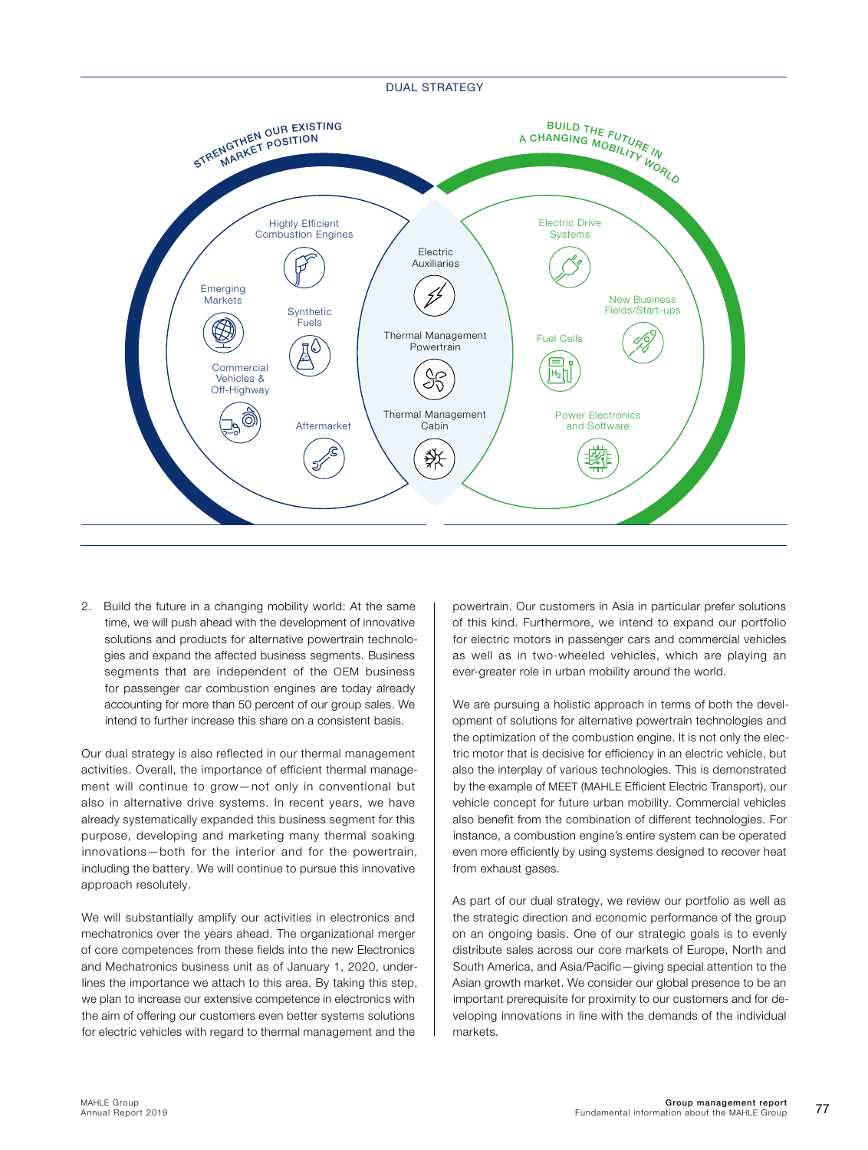

2. Build the future in a changing mobility world: At the same time, we will push ahead with the development of innovative solutions and products for alternative powertrain technologies and expand the affected business segments. Business segments that are independent of the OEM business for passenger car combustion engines are today already accounting for more than 50 percent of our group sales. We intend to further increase this share on a consistent basis.

Our dual strategy is also reflected in our thermal management activities. Overall, the importance of efficient thermal management will continue to grow—not only in conventional but also in alternative drive systems. In recent years, we have already systematically expanded this business segment for this purpose, developing and marketing many thermal soaking innovations—both for the interior and for the powertrain, including the battery. We will continue to pursue this innovative approach resolutely.

We will substantially amplify our activities in electronics and mechatronics over the years ahead. The organizational merger of core competences from these fields into the new Electronics and Mechatronics business unit as of January 1, 2020, underlines the importance we attach to this area. By taking this step, we plan to increase our extensive competence in electronics with the aim of offering our customers even better systems solutions for electric vehicles with regard to thermal management and the

powertrain. Our customers in Asia in particular prefer solutions of this kind. Furthermore, we intend to expand our portfolio for electric motors in passenger cars and commercial vehicles as well as in two-wheeled vehicles, which are playing an ever-greater role in urban mobility around the world.

We are pursuing a holistic approach in terms of both the development of solutions for alternative powertrain technologies and the optimization of the combustion engine. It is not only the electric motor that is decisive for efficiency in an electric vehicle, but also the interplay of various technologies. This is demonstrated by the example of MEET (MAHLE Efficient Electric Transport), our vehicle concept for future urban mobility. Commercial vehicles also benefit from the combination of different technologies. For instance, a combustion engine's entire system can be operated even more efficiently by using systems designed to recover heat from exhaust gases.

As part of our dual strategy, we review our portfolio as well as the strategic direction and economic performance of the group on an ongoing basis. One of our strategic goals is to evenly distribute sales across our core markets of Europe, North and South America, and Asia/Pacific—giving special attention to the Asian growth market. We consider our global presence to be an important prerequisite for proximity to our customers and for developing innovations in line with the demands of the individual markets.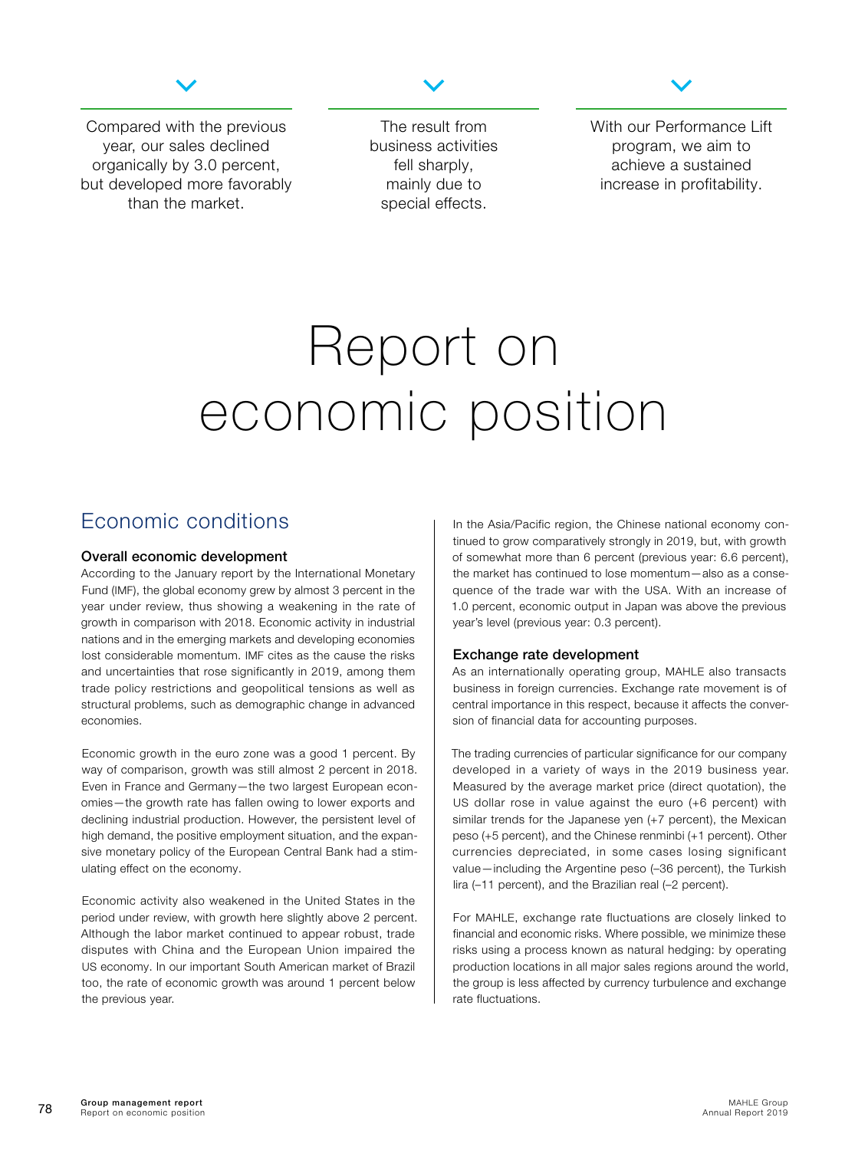

<span id="page-6-0"></span>Compared with the previous year, our sales declined organically by 3.0 percent, but developed more favorably than the market.

The result from business activities fell sharply, mainly due to special effects.



With our Performance Lift program, we aim to achieve a sustained increase in profitability.

## Report on economic position

## Economic conditions

#### Overall economic development

According to the January report by the International Monetary Fund (IMF), the global economy grew by almost 3 percent in the year under review, thus showing a weakening in the rate of growth in comparison with 2018. Economic activity in industrial nations and in the emerging markets and developing economies lost considerable momentum. IMF cites as the cause the risks and uncertainties that rose significantly in 2019, among them trade policy restrictions and geopolitical tensions as well as structural problems, such as demographic change in advanced economies.

Economic growth in the euro zone was a good 1 percent. By way of comparison, growth was still almost 2 percent in 2018. Even in France and Germany—the two largest European economies—the growth rate has fallen owing to lower exports and declining industrial production. However, the persistent level of high demand, the positive employment situation, and the expansive monetary policy of the European Central Bank had a stimulating effect on the economy.

Economic activity also weakened in the United States in the period under review, with growth here slightly above 2 percent. Although the labor market continued to appear robust, trade disputes with China and the European Union impaired the US economy. In our important South American market of Brazil too, the rate of economic growth was around 1 percent below the previous year.

In the Asia/Pacific region, the Chinese national economy continued to grow comparatively strongly in 2019, but, with growth of somewhat more than 6 percent (previous year: 6.6 percent), the market has continued to lose momentum—also as a consequence of the trade war with the USA. With an increase of 1.0 percent, economic output in Japan was above the previous year's level (previous year: 0.3 percent).

#### Exchange rate development

As an internationally operating group, MAHLE also transacts business in foreign currencies. Exchange rate movement is of central importance in this respect, because it affects the conversion of financial data for accounting purposes.

The trading currencies of particular significance for our company developed in a variety of ways in the 2019 business year. Measured by the average market price (direct quotation), the US dollar rose in value against the euro (+6 percent) with similar trends for the Japanese yen (+7 percent), the Mexican peso (+5 percent), and the Chinese renminbi (+1 percent). Other currencies depreciated, in some cases losing significant value—including the Argentine peso (–36 percent), the Turkish lira (–11 percent), and the Brazilian real (–2 percent).

For MAHLE, exchange rate fluctuations are closely linked to financial and economic risks. Where possible, we minimize these risks using a process known as natural hedging: by operating production locations in all major sales regions around the world, the group is less affected by currency turbulence and exchange rate fluctuations.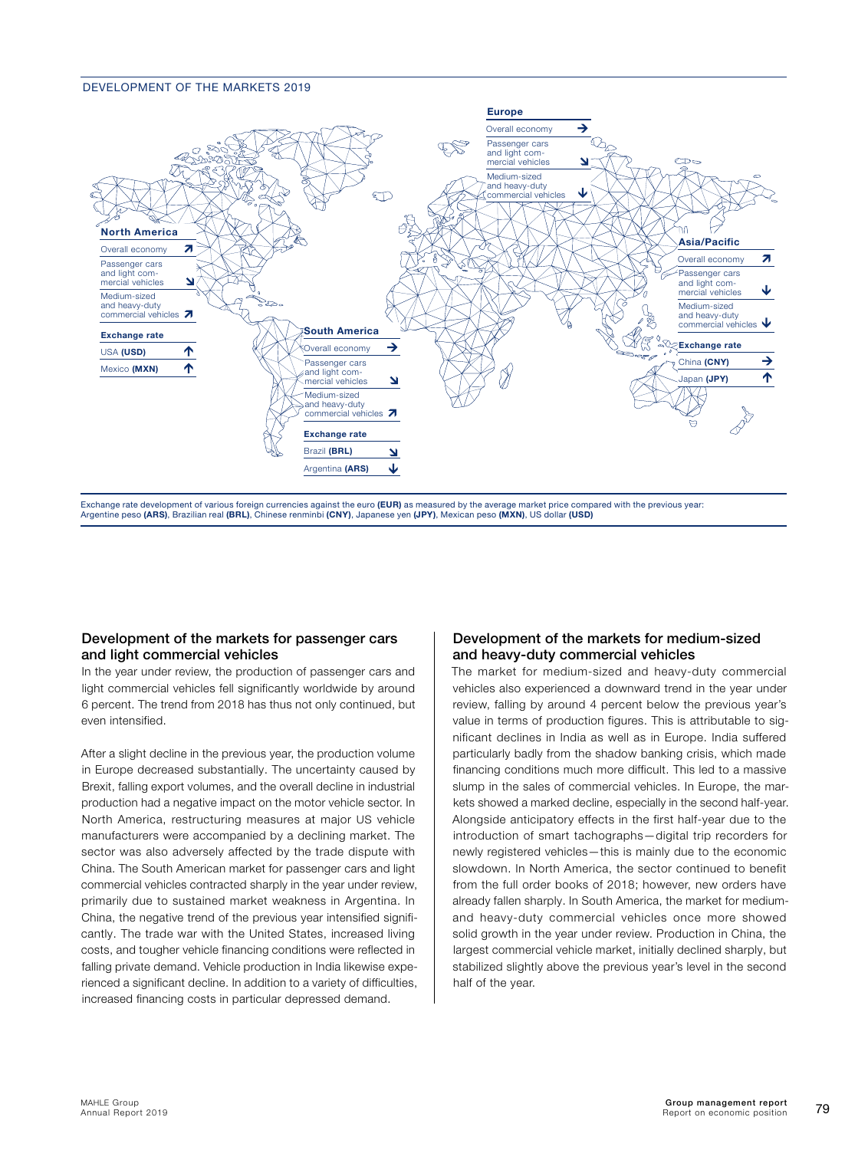#### DEVELOPMENT OF THE MARKETS 2019



Exchange rate development of various foreign currencies against the euro (EUR) as measured by the average market price compared with the previous year: Argentine peso (ARS), Brazilian real (BRL), Chinese renminbi (CNY), Japanese yen (JPY), Mexican peso (MXN), US dollar (USD)

#### Development of the markets for passenger cars and light commercial vehicles

In the year under review, the production of passenger cars and light commercial vehicles fell significantly worldwide by around 6 percent. The trend from 2018 has thus not only continued, but even intensified.

After a slight decline in the previous year, the production volume in Europe decreased substantially. The uncertainty caused by Brexit, falling export volumes, and the overall decline in industrial production had a negative impact on the motor vehicle sector. In North America, restructuring measures at major US vehicle manufacturers were accompanied by a declining market. The sector was also adversely affected by the trade dispute with China. The South American market for passenger cars and light commercial vehicles contracted sharply in the year under review, primarily due to sustained market weakness in Argentina. In China, the negative trend of the previous year intensified significantly. The trade war with the United States, increased living costs, and tougher vehicle financing conditions were reflected in falling private demand. Vehicle production in India likewise experienced a significant decline. In addition to a variety of difficulties, increased financing costs in particular depressed demand.

#### Development of the markets for medium-sized and heavy-duty commercial vehicles

The market for medium-sized and heavy-duty commercial vehicles also experienced a downward trend in the year under review, falling by around 4 percent below the previous year's value in terms of production figures. This is attributable to significant declines in India as well as in Europe. India suffered particularly badly from the shadow banking crisis, which made financing conditions much more difficult. This led to a massive slump in the sales of commercial vehicles. In Europe, the markets showed a marked decline, especially in the second half-year. Alongside anticipatory effects in the first half-year due to the introduction of smart tachographs—digital trip recorders for newly registered vehicles—this is mainly due to the economic slowdown. In North America, the sector continued to benefit from the full order books of 2018; however, new orders have already fallen sharply. In South America, the market for mediumand heavy-duty commercial vehicles once more showed solid growth in the year under review. Production in China, the largest commercial vehicle market, initially declined sharply, but stabilized slightly above the previous year's level in the second half of the year.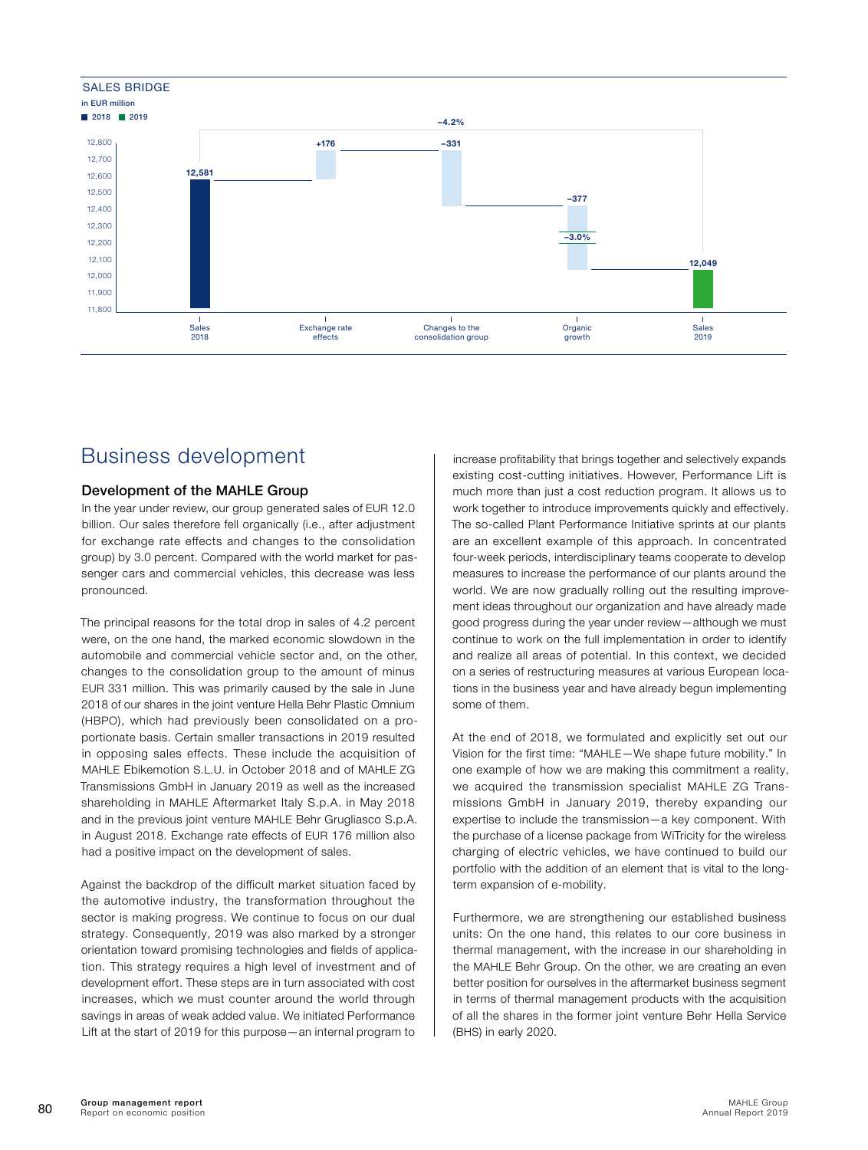<span id="page-8-0"></span>

## Business development

#### Development of the MAHLE Group

In the year under review, our group generated sales of EUR 12.0 billion. Our sales therefore fell organically (i.e., after adjustment for exchange rate effects and changes to the consolidation group) by 3.0 percent. Compared with the world market for passenger cars and commercial vehicles, this decrease was less pronounced.

The principal reasons for the total drop in sales of 4.2 percent were, on the one hand, the marked economic slowdown in the automobile and commercial vehicle sector and, on the other, changes to the consolidation group to the amount of minus EUR 331 million. This was primarily caused by the sale in June 2018 of our shares in the joint venture Hella Behr Plastic Omnium (HBPO), which had previously been consolidated on a proportionate basis. Certain smaller transactions in 2019 resulted in opposing sales effects. These include the acquisition of MAHLE Ebikemotion S.L.U. in October 2018 and of MAHLE ZG Transmissions GmbH in January 2019 as well as the increased shareholding in MAHLE Aftermarket Italy S.p.A. in May 2018 and in the previous joint venture MAHLE Behr Grugliasco S.p.A. in August 2018. Exchange rate effects of EUR 176 million also had a positive impact on the development of sales.

Against the backdrop of the difficult market situation faced by the automotive industry, the transformation throughout the sector is making progress. We continue to focus on our dual strategy. Consequently, 2019 was also marked by a stronger orientation toward promising technologies and fields of application. This strategy requires a high level of investment and of development effort. These steps are in turn associated with cost increases, which we must counter around the world through savings in areas of weak added value. We initiated Performance Lift at the start of 2019 for this purpose—an internal program to

increase profitability that brings together and selectively expands existing cost-cutting initiatives. However, Performance Lift is much more than just a cost reduction program. It allows us to work together to introduce improvements quickly and effectively. The so-called Plant Performance Initiative sprints at our plants are an excellent example of this approach. In concentrated four-week periods, interdisciplinary teams cooperate to develop measures to increase the performance of our plants around the world. We are now gradually rolling out the resulting improvement ideas throughout our organization and have already made good progress during the year under review—although we must continue to work on the full implementation in order to identify and realize all areas of potential. In this context, we decided on a series of restructuring measures at various European locations in the business year and have already begun implementing some of them.

At the end of 2018, we formulated and explicitly set out our Vision for the first time: "MAHLE—We shape future mobility." In one example of how we are making this commitment a reality, we acquired the transmission specialist MAHLE ZG Transmissions GmbH in January 2019, thereby expanding our expertise to include the transmission—a key component. With the purchase of a license package from WiTricity for the wireless charging of electric vehicles, we have continued to build our portfolio with the addition of an element that is vital to the longterm expansion of e-mobility.

Furthermore, we are strengthening our established business units: On the one hand, this relates to our core business in thermal management, with the increase in our shareholding in the MAHLE Behr Group. On the other, we are creating an even better position for ourselves in the aftermarket business segment in terms of thermal management products with the acquisition of all the shares in the former joint venture Behr Hella Service (BHS) in early 2020.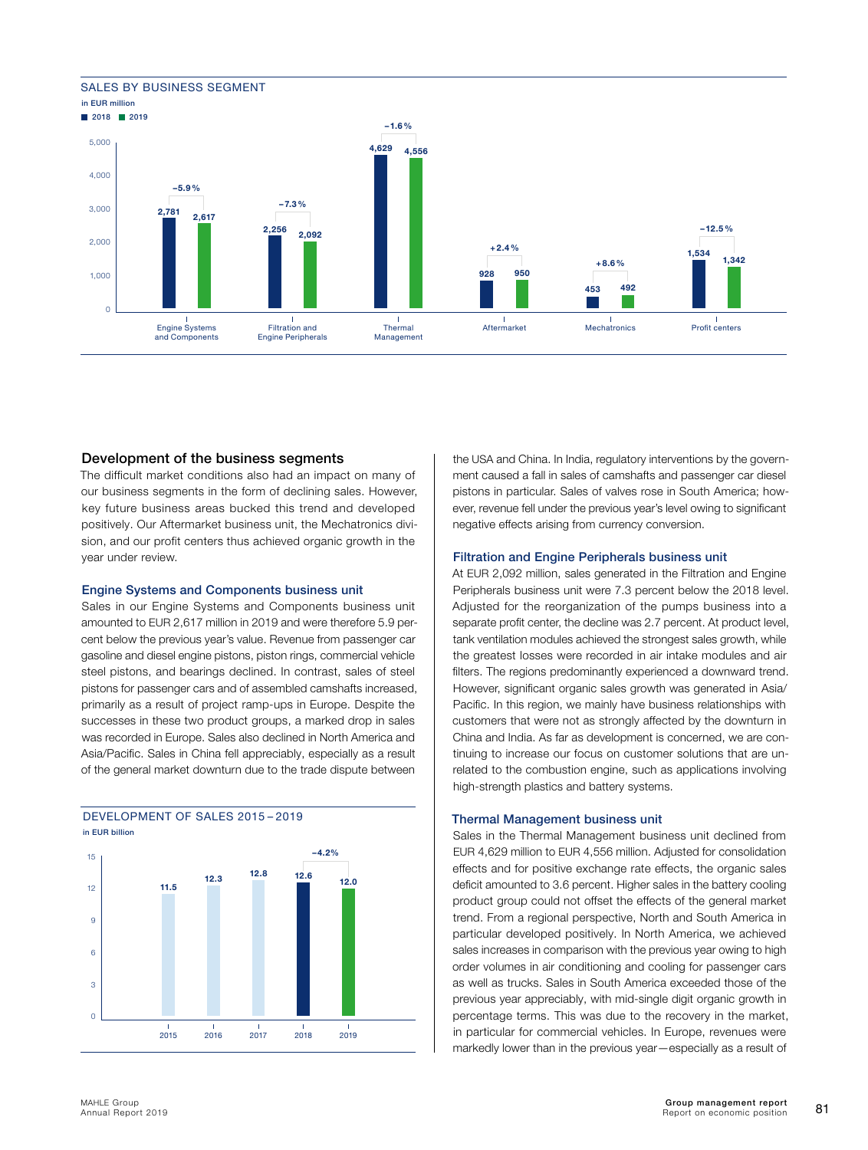#### SALES BY BUSINESS SEGMENT





#### Development of the business segments

The difficult market conditions also had an impact on many of our business segments in the form of declining sales. However, key future business areas bucked this trend and developed positively. Our Aftermarket business unit, the Mechatronics division, and our profit centers thus achieved organic growth in the year under review.

#### Engine Systems and Components business unit

Sales in our Engine Systems and Components business unit amounted to EUR 2,617 million in 2019 and were therefore 5.9 percent below the previous year's value. Revenue from passenger car gasoline and diesel engine pistons, piston rings, commercial vehicle steel pistons, and bearings declined. In contrast, sales of steel pistons for passenger cars and of assembled camshafts increased, primarily as a result of project ramp-ups in Europe. Despite the successes in these two product groups, a marked drop in sales was recorded in Europe. Sales also declined in North America and Asia/Pacific. Sales in China fell appreciably, especially as a result of the general market downturn due to the trade dispute between



## DEVELOPMENT OF SALES 2015 – 2019

the USA and China. In India, regulatory interventions by the government caused a fall in sales of camshafts and passenger car diesel pistons in particular. Sales of valves rose in South America; however, revenue fell under the previous year's level owing to significant negative effects arising from currency conversion.

#### Filtration and Engine Peripherals business unit

At EUR 2,092 million, sales generated in the Filtration and Engine Peripherals business unit were 7.3 percent below the 2018 level. Adjusted for the reorganization of the pumps business into a separate profit center, the decline was 2.7 percent. At product level, tank ventilation modules achieved the strongest sales growth, while the greatest losses were recorded in air intake modules and air filters. The regions predominantly experienced a downward trend. However, significant organic sales growth was generated in Asia/ Pacific. In this region, we mainly have business relationships with customers that were not as strongly affected by the downturn in China and India. As far as development is concerned, we are continuing to increase our focus on customer solutions that are unrelated to the combustion engine, such as applications involving high-strength plastics and battery systems.

#### Thermal Management business unit

Sales in the Thermal Management business unit declined from EUR 4,629 million to EUR 4,556 million. Adjusted for consolidation effects and for positive exchange rate effects, the organic sales deficit amounted to 3.6 percent. Higher sales in the battery cooling product group could not offset the effects of the general market trend. From a regional perspective, North and South America in particular developed positively. In North America, we achieved sales increases in comparison with the previous year owing to high order volumes in air conditioning and cooling for passenger cars as well as trucks. Sales in South America exceeded those of the previous year appreciably, with mid-single digit organic growth in percentage terms. This was due to the recovery in the market, in particular for commercial vehicles. In Europe, revenues were markedly lower than in the previous year—especially as a result of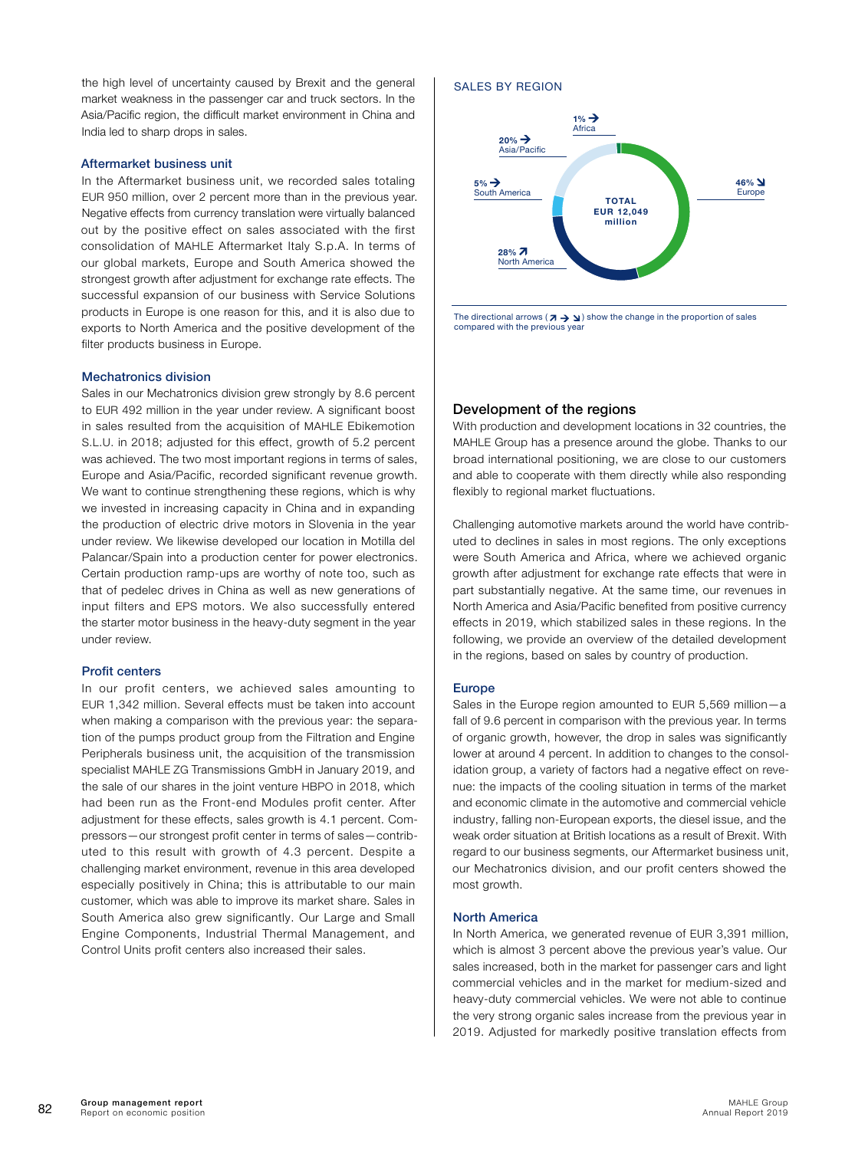the high level of uncertainty caused by Brexit and the general market weakness in the passenger car and truck sectors. In the Asia/Pacific region, the difficult market environment in China and India led to sharp drops in sales.

#### Aftermarket business unit

In the Aftermarket business unit, we recorded sales totaling EUR 950 million, over 2 percent more than in the previous year. Negative effects from currency translation were virtually balanced out by the positive effect on sales associated with the first consolidation of MAHLE Aftermarket Italy S.p.A. In terms of our global markets, Europe and South America showed the strongest growth after adjustment for exchange rate effects. The successful expansion of our business with Service Solutions products in Europe is one reason for this, and it is also due to exports to North America and the positive development of the filter products business in Europe.

#### Mechatronics division

Sales in our Mechatronics division grew strongly by 8.6 percent to EUR 492 million in the year under review. A significant boost in sales resulted from the acquisition of MAHLE Ebikemotion S.L.U. in 2018; adjusted for this effect, growth of 5.2 percent was achieved. The two most important regions in terms of sales, Europe and Asia/Pacific, recorded significant revenue growth. We want to continue strengthening these regions, which is why we invested in increasing capacity in China and in expanding the production of electric drive motors in Slovenia in the year under review. We likewise developed our location in Motilla del Palancar/Spain into a production center for power electronics. Certain production ramp-ups are worthy of note too, such as that of pedelec drives in China as well as new generations of input filters and EPS motors. We also successfully entered the starter motor business in the heavy-duty segment in the year under review.

#### Profit centers

In our profit centers, we achieved sales amounting to EUR 1,342 million. Several effects must be taken into account when making a comparison with the previous year: the separation of the pumps product group from the Filtration and Engine Peripherals business unit, the acquisition of the transmission specialist MAHLE ZG Transmissions GmbH in January 2019, and the sale of our shares in the joint venture HBPO in 2018, which had been run as the Front-end Modules profit center. After adjustment for these effects, sales growth is 4.1 percent. Compressors—our strongest profit center in terms of sales—contributed to this result with growth of 4.3 percent. Despite a challenging market environment, revenue in this area developed especially positively in China; this is attributable to our main customer, which was able to improve its market share. Sales in South America also grew significantly. Our Large and Small Engine Components, Industrial Thermal Management, and Control Units profit centers also increased their sales.

#### SALES BY REGION



The directional arrows  $(\lambda \rightarrow \lambda)$  show the change in the proportion of sales compared with the previous year

#### Development of the regions

With production and development locations in 32 countries, the MAHLE Group has a presence around the globe. Thanks to our broad international positioning, we are close to our customers and able to cooperate with them directly while also responding flexibly to regional market fluctuations.

Challenging automotive markets around the world have contributed to declines in sales in most regions. The only exceptions were South America and Africa, where we achieved organic growth after adjustment for exchange rate effects that were in part substantially negative. At the same time, our revenues in North America and Asia/Pacific benefited from positive currency effects in 2019, which stabilized sales in these regions. In the following, we provide an overview of the detailed development in the regions, based on sales by country of production.

#### Europe

Sales in the Europe region amounted to EUR 5,569 million—a fall of 9.6 percent in comparison with the previous year. In terms of organic growth, however, the drop in sales was significantly lower at around 4 percent. In addition to changes to the consolidation group, a variety of factors had a negative effect on revenue: the impacts of the cooling situation in terms of the market and economic climate in the automotive and commercial vehicle industry, falling non-European exports, the diesel issue, and the weak order situation at British locations as a result of Brexit. With regard to our business segments, our Aftermarket business unit, our Mechatronics division, and our profit centers showed the most growth.

#### North America

In North America, we generated revenue of EUR 3,391 million, which is almost 3 percent above the previous year's value. Our sales increased, both in the market for passenger cars and light commercial vehicles and in the market for medium-sized and heavy-duty commercial vehicles. We were not able to continue the very strong organic sales increase from the previous year in 2019. Adjusted for markedly positive translation effects from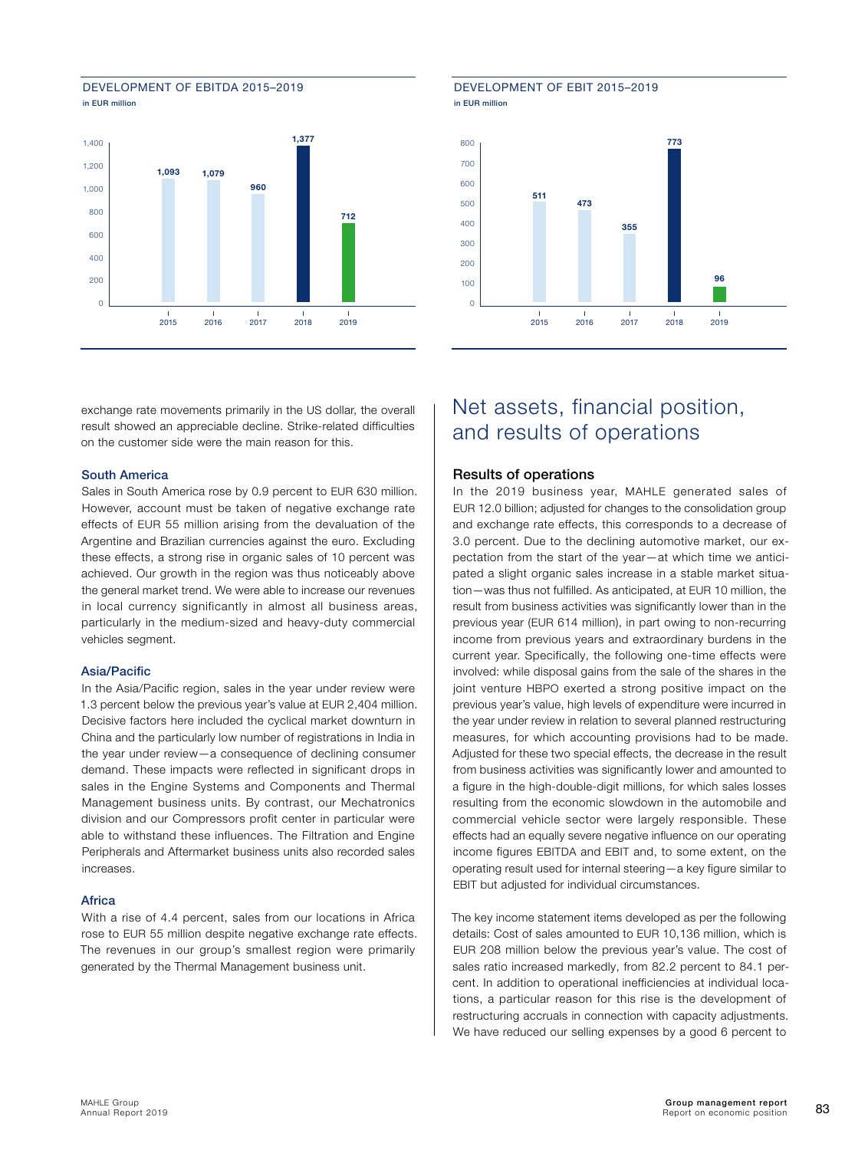<span id="page-11-0"></span>



exchange rate movements primarily in the US dollar, the overall result showed an appreciable decline. Strike-related difficulties on the customer side were the main reason for this.

#### South America

Sales in South America rose by 0.9 percent to EUR 630 million. However, account must be taken of negative exchange rate effects of EUR 55 million arising from the devaluation of the Argentine and Brazilian currencies against the euro. Excluding these effects, a strong rise in organic sales of 10 percent was achieved. Our growth in the region was thus noticeably above the general market trend. We were able to increase our revenues in local currency significantly in almost all business areas, particularly in the medium-sized and heavy-duty commercial vehicles segment.

#### Asia/Pacific

In the Asia/Pacific region, sales in the year under review were 1.3 percent below the previous year's value at EUR 2,404 million. Decisive factors here included the cyclical market downturn in China and the particularly low number of registrations in India in the year under review—a consequence of declining consumer demand. These impacts were reflected in significant drops in sales in the Engine Systems and Components and Thermal Management business units. By contrast, our Mechatronics division and our Compressors profit center in particular were able to withstand these influences. The Filtration and Engine Peripherals and Aftermarket business units also recorded sales increases.

#### **Africa**

With a rise of 4.4 percent, sales from our locations in Africa rose to EUR 55 million despite negative exchange rate effects. The revenues in our group's smallest region were primarily generated by the Thermal Management business unit.

#### DEVELOPMENT OF EBIT 2015–2019 in EUR million



## Net assets, financial position, and results of operations

#### Results of operations

In the 2019 business year, MAHLE generated sales of EUR 12.0 billion; adjusted for changes to the consolidation group and exchange rate effects, this corresponds to a decrease of 3.0 percent. Due to the declining automotive market, our expectation from the start of the year—at which time we anticipated a slight organic sales increase in a stable market situation—was thus not fulfilled. As anticipated, at EUR 10 million, the result from business activities was significantly lower than in the previous year (EUR 614 million), in part owing to non-recurring income from previous years and extraordinary burdens in the current year. Specifically, the following one-time effects were involved: while disposal gains from the sale of the shares in the joint venture HBPO exerted a strong positive impact on the previous year's value, high levels of expenditure were incurred in the year under review in relation to several planned restructuring measures, for which accounting provisions had to be made. Adjusted for these two special effects, the decrease in the result from business activities was significantly lower and amounted to a figure in the high-double-digit millions, for which sales losses resulting from the economic slowdown in the automobile and commercial vehicle sector were largely responsible. These effects had an equally severe negative influence on our operating income figures EBITDA and EBIT and, to some extent, on the operating result used for internal steering—a key figure similar to EBIT but adjusted for individual circumstances.

The key income statement items developed as per the following details: Cost of sales amounted to EUR 10,136 million, which is EUR 208 million below the previous year's value. The cost of sales ratio increased markedly, from 82.2 percent to 84.1 percent. In addition to operational inefficiencies at individual locations, a particular reason for this rise is the development of restructuring accruals in connection with capacity adjustments. We have reduced our selling expenses by a good 6 percent to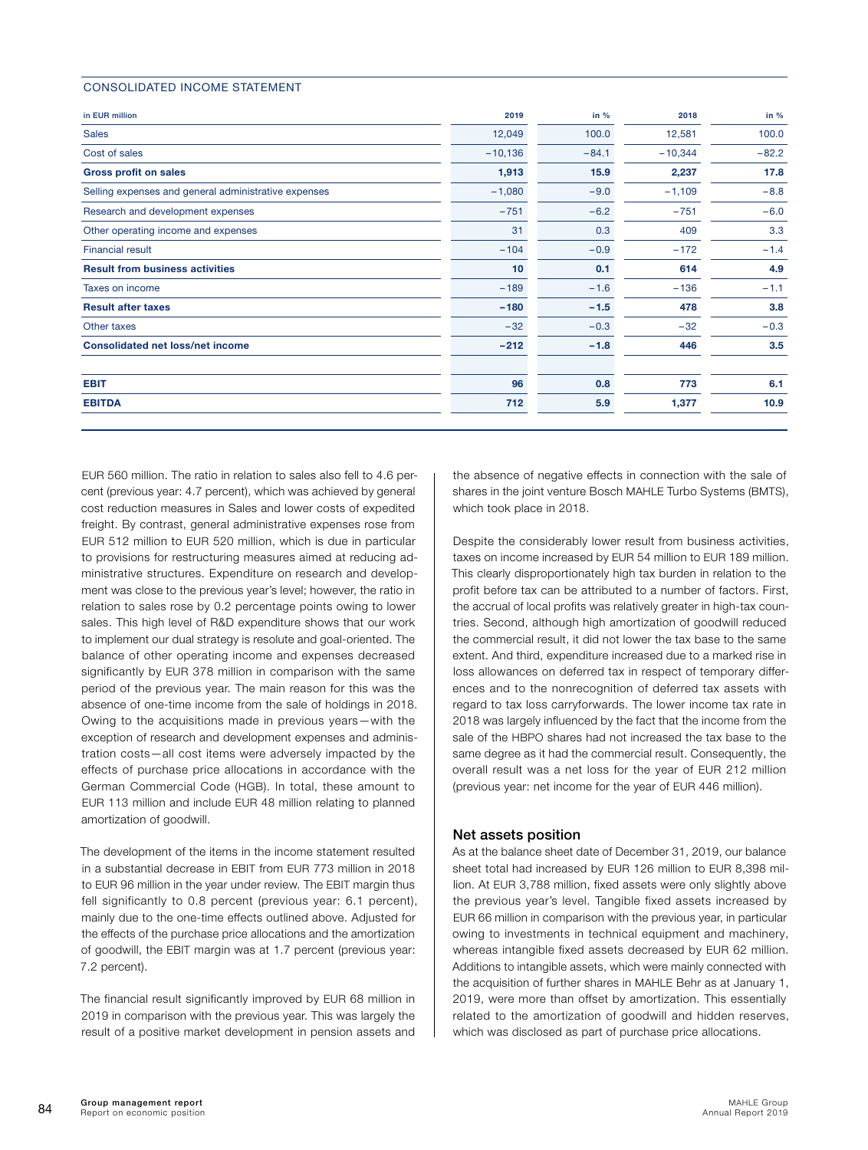#### CONSOLIDATED INCOME STATEMENT

| in EUR million                                       | 2019      | in $%$  | 2018      | in $%$  |
|------------------------------------------------------|-----------|---------|-----------|---------|
| <b>Sales</b>                                         | 12,049    | 100.0   | 12,581    | 100.0   |
| Cost of sales                                        | $-10,136$ | $-84.1$ | $-10,344$ | $-82.2$ |
| <b>Gross profit on sales</b>                         | 1,913     | 15.9    | 2,237     | 17.8    |
| Selling expenses and general administrative expenses | $-1,080$  | $-9.0$  | $-1,109$  | $-8.8$  |
| Research and development expenses                    | $-751$    | $-6.2$  | $-751$    | $-6.0$  |
| Other operating income and expenses                  | 31        | 0.3     | 409       | 3.3     |
| <b>Financial result</b>                              | $-104$    | $-0.9$  | $-172$    | $-1.4$  |
| <b>Result from business activities</b>               | 10        | 0.1     | 614       | 4.9     |
| Taxes on income                                      | $-189$    | $-1.6$  | $-136$    | $-1.1$  |
| <b>Result after taxes</b>                            | $-180$    | $-1.5$  | 478       | 3.8     |
| Other taxes                                          | $-32$     | $-0.3$  | $-32$     | $-0.3$  |
| <b>Consolidated net loss/net income</b>              | $-212$    | $-1.8$  | 446       | 3.5     |
| <b>EBIT</b>                                          | 96        | 0.8     | 773       | 6.1     |
| <b>EBITDA</b>                                        | 712       | 5.9     | 1,377     | 10.9    |

EUR 560 million. The ratio in relation to sales also fell to 4.6 percent (previous year: 4.7 percent), which was achieved by general cost reduction measures in Sales and lower costs of expedited freight. By contrast, general administrative expenses rose from EUR 512 million to EUR 520 million, which is due in particular to provisions for restructuring measures aimed at reducing administrative structures. Expenditure on research and development was close to the previous year's level; however, the ratio in relation to sales rose by 0.2 percentage points owing to lower sales. This high level of R&D expenditure shows that our work to implement our dual strategy is resolute and goal-oriented. The balance of other operating income and expenses decreased significantly by EUR 378 million in comparison with the same period of the previous year. The main reason for this was the absence of one-time income from the sale of holdings in 2018. Owing to the acquisitions made in previous years—with the exception of research and development expenses and administration costs—all cost items were adversely impacted by the effects of purchase price allocations in accordance with the German Commercial Code (HGB). In total, these amount to EUR 113 million and include EUR 48 million relating to planned amortization of goodwill.

The development of the items in the income statement resulted in a substantial decrease in EBIT from EUR 773 million in 2018 to EUR 96 million in the year under review. The EBIT margin thus fell significantly to 0.8 percent (previous year: 6.1 percent), mainly due to the one-time effects outlined above. Adjusted for the effects of the purchase price allocations and the amortization of goodwill, the EBIT margin was at 1.7 percent (previous year: 7.2 percent).

The financial result significantly improved by EUR 68 million in 2019 in comparison with the previous year. This was largely the result of a positive market development in pension assets and

the absence of negative effects in connection with the sale of shares in the joint venture Bosch MAHLE Turbo Systems (BMTS), which took place in 2018.

Despite the considerably lower result from business activities, taxes on income increased by EUR 54 million to EUR 189 million. This clearly disproportionately high tax burden in relation to the profit before tax can be attributed to a number of factors. First, the accrual of local profits was relatively greater in high-tax countries. Second, although high amortization of goodwill reduced the commercial result, it did not lower the tax base to the same extent. And third, expenditure increased due to a marked rise in loss allowances on deferred tax in respect of temporary differences and to the nonrecognition of deferred tax assets with regard to tax loss carryforwards. The lower income tax rate in 2018 was largely influenced by the fact that the income from the sale of the HBPO shares had not increased the tax base to the same degree as it had the commercial result. Consequently, the overall result was a net loss for the year of EUR 212 million (previous year: net income for the year of EUR 446 million).

#### Net assets position

As at the balance sheet date of December 31, 2019, our balance sheet total had increased by EUR 126 million to EUR 8,398 million. At EUR 3,788 million, fixed assets were only slightly above the previous year's level. Tangible fixed assets increased by EUR 66 million in comparison with the previous year, in particular owing to investments in technical equipment and machinery, whereas intangible fixed assets decreased by EUR 62 million. Additions to intangible assets, which were mainly connected with the acquisition of further shares in MAHLE Behr as at January 1, 2019, were more than offset by amortization. This essentially related to the amortization of goodwill and hidden reserves, which was disclosed as part of purchase price allocations.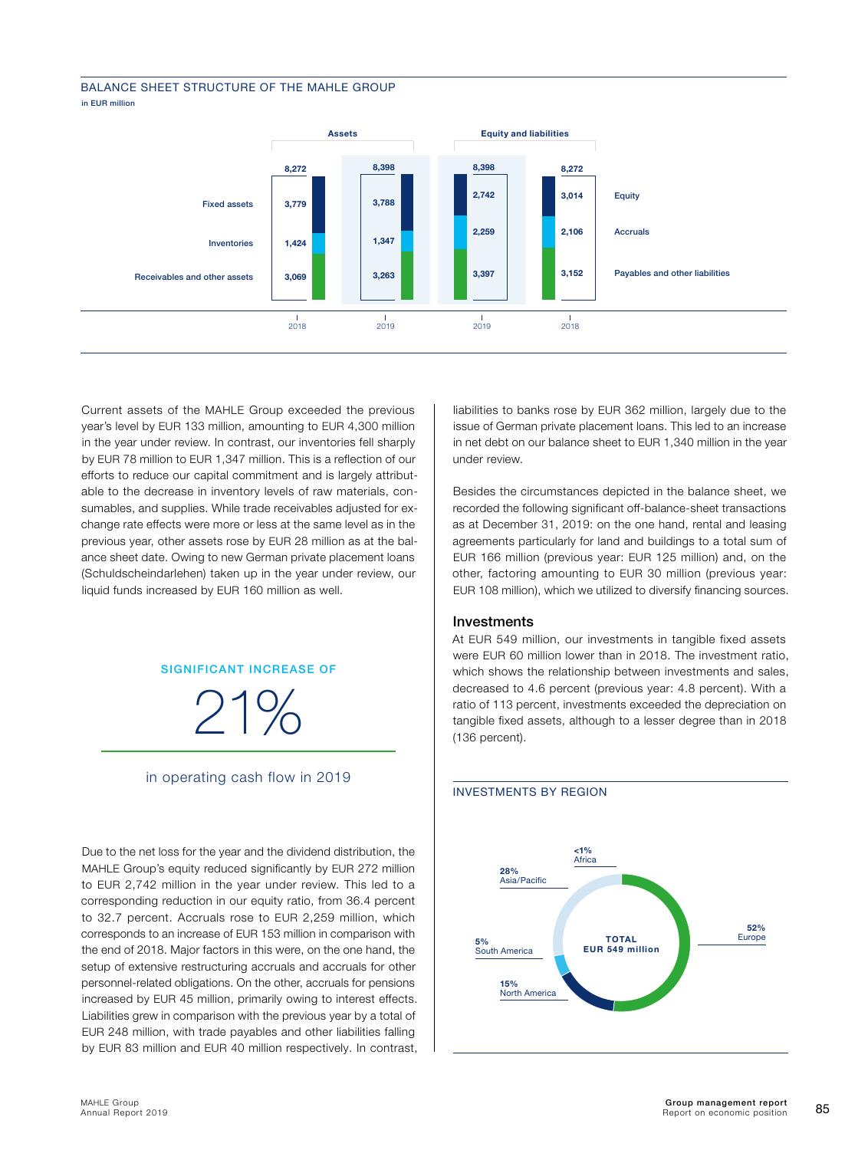#### BALANCE SHEET STRUCTURE OF THE MAHLE GROUP in EUR million



Current assets of the MAHLE Group exceeded the previous year's level by EUR 133 million, amounting to EUR 4,300 million in the year under review. In contrast, our inventories fell sharply by EUR 78 million to EUR 1,347 million. This is a reflection of our efforts to reduce our capital commitment and is largely attributable to the decrease in inventory levels of raw materials, consumables, and supplies. While trade receivables adjusted for exchange rate effects were more or less at the same level as in the previous year, other assets rose by EUR 28 million as at the balance sheet date. Owing to new German private placement loans (Schuldscheindarlehen) taken up in the year under review, our liquid funds increased by EUR 160 million as well.

#### SIGNIFICANT INCREASE OF

21%

in operating cash flow in 2019

Due to the net loss for the year and the dividend distribution, the MAHLE Group's equity reduced significantly by EUR 272 million to EUR 2,742 million in the year under review. This led to a corresponding reduction in our equity ratio, from 36.4 percent to 32.7 percent. Accruals rose to EUR 2,259 million, which corresponds to an increase of EUR 153 million in comparison with the end of 2018. Major factors in this were, on the one hand, the setup of extensive restructuring accruals and accruals for other personnel-related obligations. On the other, accruals for pensions increased by EUR 45 million, primarily owing to interest effects. Liabilities grew in comparison with the previous year by a total of EUR 248 million, with trade payables and other liabilities falling by EUR 83 million and EUR 40 million respectively. In contrast,

liabilities to banks rose by EUR 362 million, largely due to the issue of German private placement loans. This led to an increase in net debt on our balance sheet to EUR 1,340 million in the year under review.

Besides the circumstances depicted in the balance sheet, we recorded the following significant off-balance-sheet transactions as at December 31, 2019: on the one hand, rental and leasing agreements particularly for land and buildings to a total sum of EUR 166 million (previous year: EUR 125 million) and, on the other, factoring amounting to EUR 30 million (previous year: EUR 108 million), which we utilized to diversify financing sources.

#### Investments

INVESTMENTS BY REGION

At EUR 549 million, our investments in tangible fixed assets were EUR 60 million lower than in 2018. The investment ratio, which shows the relationship between investments and sales, decreased to 4.6 percent (previous year: 4.8 percent). With a ratio of 113 percent, investments exceeded the depreciation on tangible fixed assets, although to a lesser degree than in 2018 (136 percent).

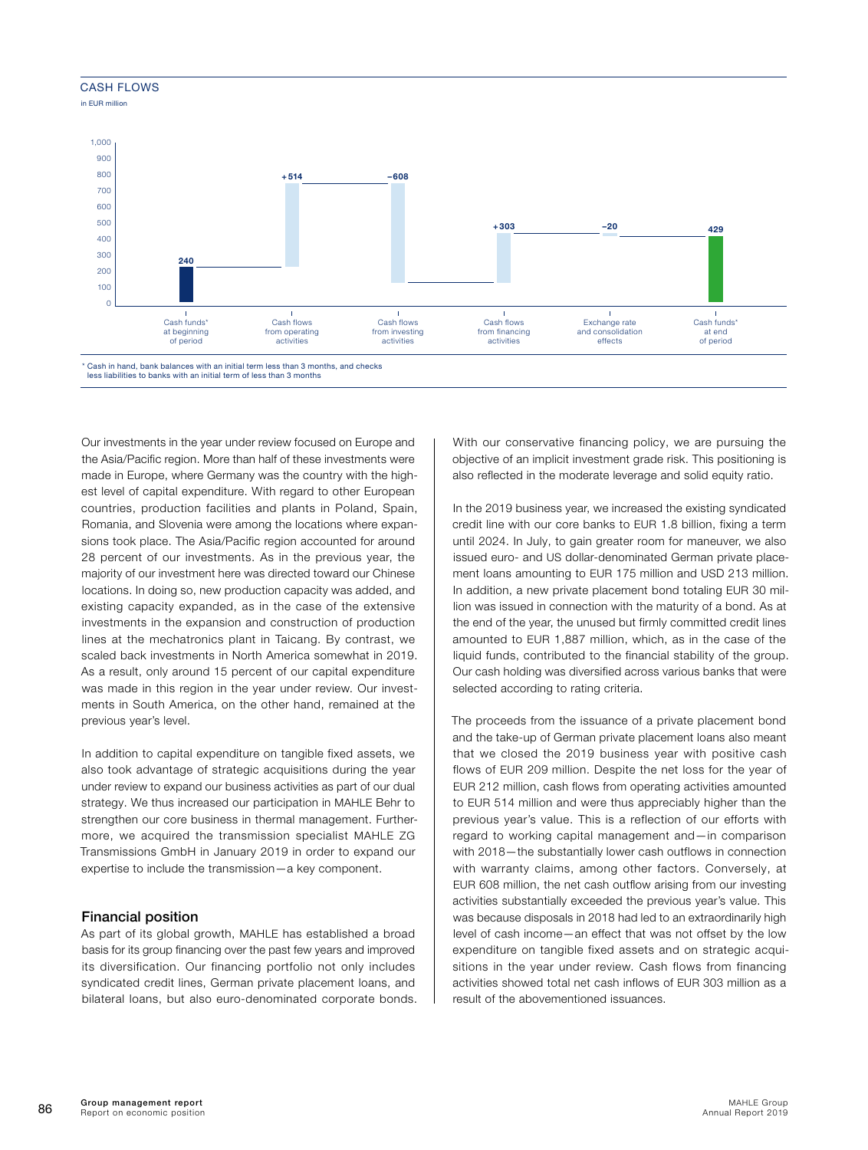#### **CASH FLOWS**

in EUR million



less liabilities to banks with an initial term of less than 3 months

Our investments in the year under review focused on Europe and the Asia/Pacific region. More than half of these investments were made in Europe, where Germany was the country with the highest level of capital expenditure. With regard to other European countries, production facilities and plants in Poland, Spain, Romania, and Slovenia were among the locations where expansions took place. The Asia/Pacific region accounted for around 28 percent of our investments. As in the previous year, the majority of our investment here was directed toward our Chinese locations. In doing so, new production capacity was added, and existing capacity expanded, as in the case of the extensive investments in the expansion and construction of production lines at the mechatronics plant in Taicang. By contrast, we scaled back investments in North America somewhat in 2019. As a result, only around 15 percent of our capital expenditure was made in this region in the year under review. Our investments in South America, on the other hand, remained at the previous year's level.

In addition to capital expenditure on tangible fixed assets, we also took advantage of strategic acquisitions during the year under review to expand our business activities as part of our dual strategy. We thus increased our participation in MAHLE Behr to strengthen our core business in thermal management. Furthermore, we acquired the transmission specialist MAHLE ZG Transmissions GmbH in January 2019 in order to expand our expertise to include the transmission—a key component.

#### Financial position

As part of its global growth, MAHLE has established a broad basis for its group financing over the past few years and improved its diversification. Our financing portfolio not only includes syndicated credit lines, German private placement loans, and bilateral loans, but also euro-denominated corporate bonds. With our conservative financing policy, we are pursuing the objective of an implicit investment grade risk. This positioning is also reflected in the moderate leverage and solid equity ratio.

In the 2019 business year, we increased the existing syndicated credit line with our core banks to EUR 1.8 billion, fixing a term until 2024. In July, to gain greater room for maneuver, we also issued euro- and US dollar-denominated German private placement loans amounting to EUR 175 million and USD 213 million. In addition, a new private placement bond totaling EUR 30 million was issued in connection with the maturity of a bond. As at the end of the year, the unused but firmly committed credit lines amounted to EUR 1,887 million, which, as in the case of the liquid funds, contributed to the financial stability of the group. Our cash holding was diversified across various banks that were selected according to rating criteria.

The proceeds from the issuance of a private placement bond and the take-up of German private placement loans also meant that we closed the 2019 business year with positive cash flows of EUR 209 million. Despite the net loss for the year of EUR 212 million, cash flows from operating activities amounted to EUR 514 million and were thus appreciably higher than the previous year's value. This is a reflection of our efforts with regard to working capital management and—in comparison with 2018—the substantially lower cash outflows in connection with warranty claims, among other factors. Conversely, at EUR 608 million, the net cash outflow arising from our investing activities substantially exceeded the previous year's value. This was because disposals in 2018 had led to an extraordinarily high level of cash income—an effect that was not offset by the low expenditure on tangible fixed assets and on strategic acquisitions in the year under review. Cash flows from financing activities showed total net cash inflows of EUR 303 million as a result of the abovementioned issuances.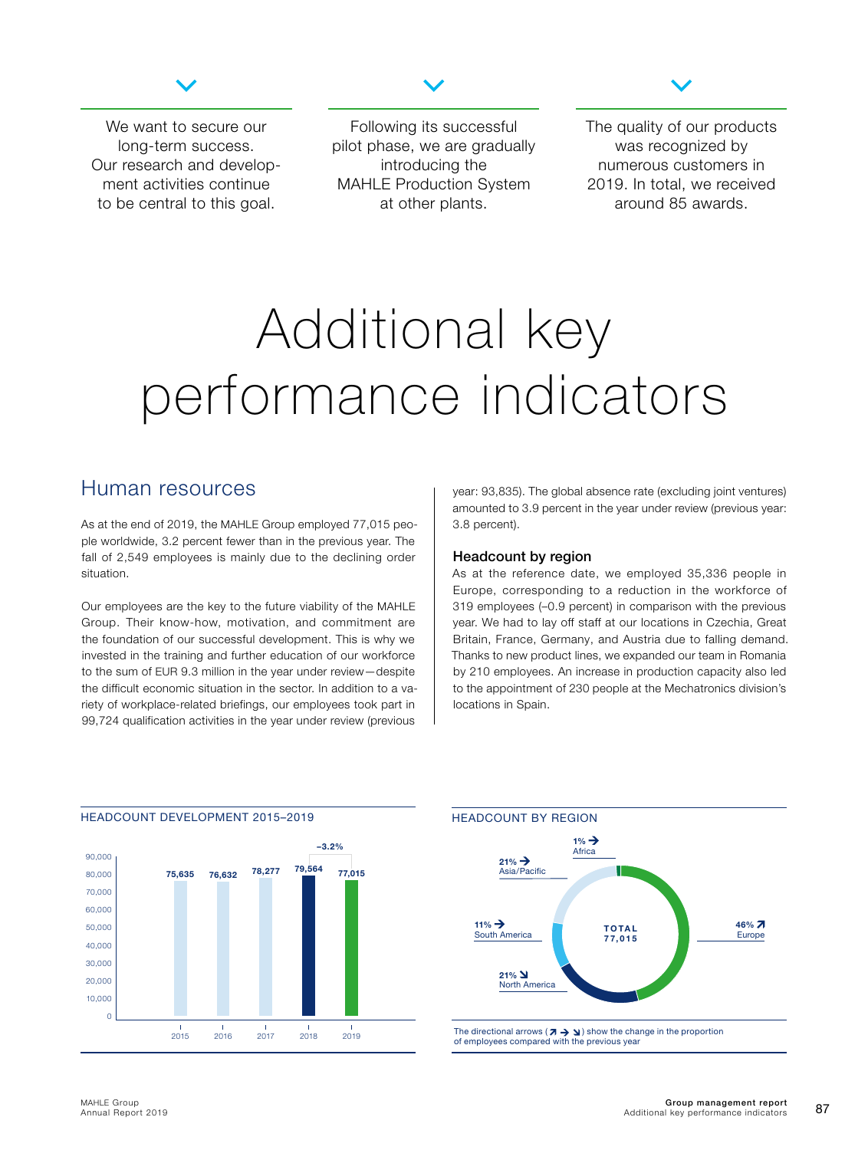

<span id="page-15-0"></span>We want to secure our long-term success. Our research and development activities continue to be central to this goal.

Following its successful pilot phase, we are gradually introducing the MAHLE Production System at other plants.



The quality of our products was recognized by numerous customers in 2019. In total, we received around 85 awards.

## Additional key performance indicators

### Human resources

As at the end of 2019, the MAHLE Group employed 77,015 people worldwide, 3.2 percent fewer than in the previous year. The fall of 2,549 employees is mainly due to the declining order situation.

Our employees are the key to the future viability of the MAHLE Group. Their know-how, motivation, and commitment are the foundation of our successful development. This is why we invested in the training and further education of our workforce to the sum of EUR 9.3 million in the year under review—despite the difficult economic situation in the sector. In addition to a variety of workplace-related briefings, our employees took part in 99,724 qualification activities in the year under review (previous

year: 93,835). The global absence rate (excluding joint ventures) amounted to 3.9 percent in the year under review (previous year: 3.8 percent).

#### Headcount by region

As at the reference date, we employed 35,336 people in Europe, corresponding to a reduction in the workforce of 319 employees (–0.9 percent) in comparison with the previous year. We had to lay off staff at our locations in Czechia, Great Britain, France, Germany, and Austria due to falling demand. Thanks to new product lines, we expanded our team in Romania by 210 employees. An increase in production capacity also led to the appointment of 230 people at the Mechatronics division's locations in Spain.



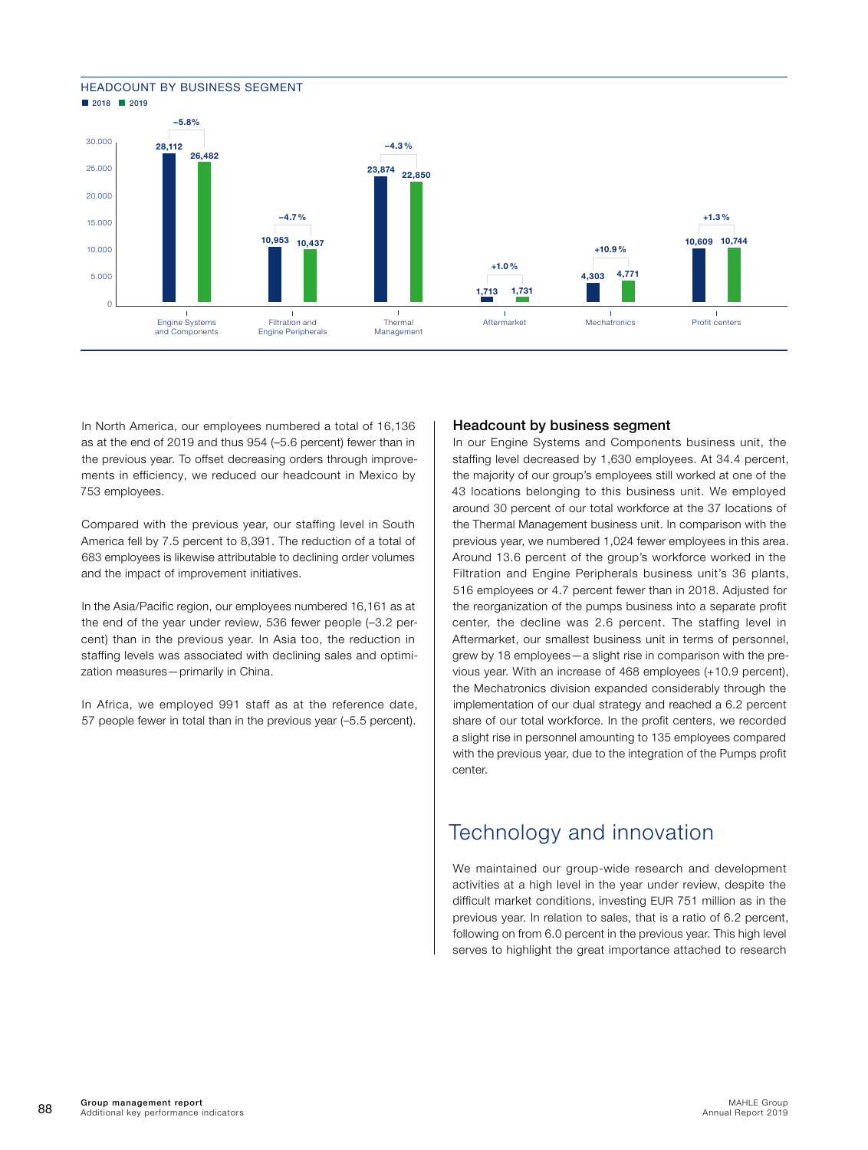#### <span id="page-16-0"></span>HEADCOUNT BY BUSINESS SEGMENT **2018** 2019



In North America, our employees numbered a total of 16,136 as at the end of 2019 and thus 954 (–5.6 percent) fewer than in the previous year. To offset decreasing orders through improvements in efficiency, we reduced our headcount in Mexico by 753 employees.

Compared with the previous year, our staffing level in South America fell by 7.5 percent to 8,391. The reduction of a total of 683 employees is likewise attributable to declining order volumes and the impact of improvement initiatives.

In the Asia/Pacific region, our employees numbered 16,161 as at the end of the year under review, 536 fewer people (–3.2 percent) than in the previous year. In Asia too, the reduction in staffing levels was associated with declining sales and optimization measures—primarily in China.

In Africa, we employed 991 staff as at the reference date, 57 people fewer in total than in the previous year (–5.5 percent).

#### Headcount by business segment

In our Engine Systems and Components business unit, the staffing level decreased by 1,630 employees. At 34.4 percent, the majority of our group's employees still worked at one of the 43 locations belonging to this business unit. We employed around 30 percent of our total workforce at the 37 locations of the Thermal Management business unit. In comparison with the previous year, we numbered 1,024 fewer employees in this area. Around 13.6 percent of the group's workforce worked in the Filtration and Engine Peripherals business unit's 36 plants, 516 employees or 4.7 percent fewer than in 2018. Adjusted for the reorganization of the pumps business into a separate profit center, the decline was 2.6 percent. The staffing level in Aftermarket, our smallest business unit in terms of personnel, grew by 18 employees—a slight rise in comparison with the previous year. With an increase of 468 employees (+10.9 percent), the Mechatronics division expanded considerably through the implementation of our dual strategy and reached a 6.2 percent share of our total workforce. In the profit centers, we recorded a slight rise in personnel amounting to 135 employees compared with the previous year, due to the integration of the Pumps profit center.

## Technology and innovation

We maintained our group-wide research and development activities at a high level in the year under review, despite the difficult market conditions, investing EUR 751 million as in the previous year. In relation to sales, that is a ratio of 6.2 percent, following on from 6.0 percent in the previous year. This high level serves to highlight the great importance attached to research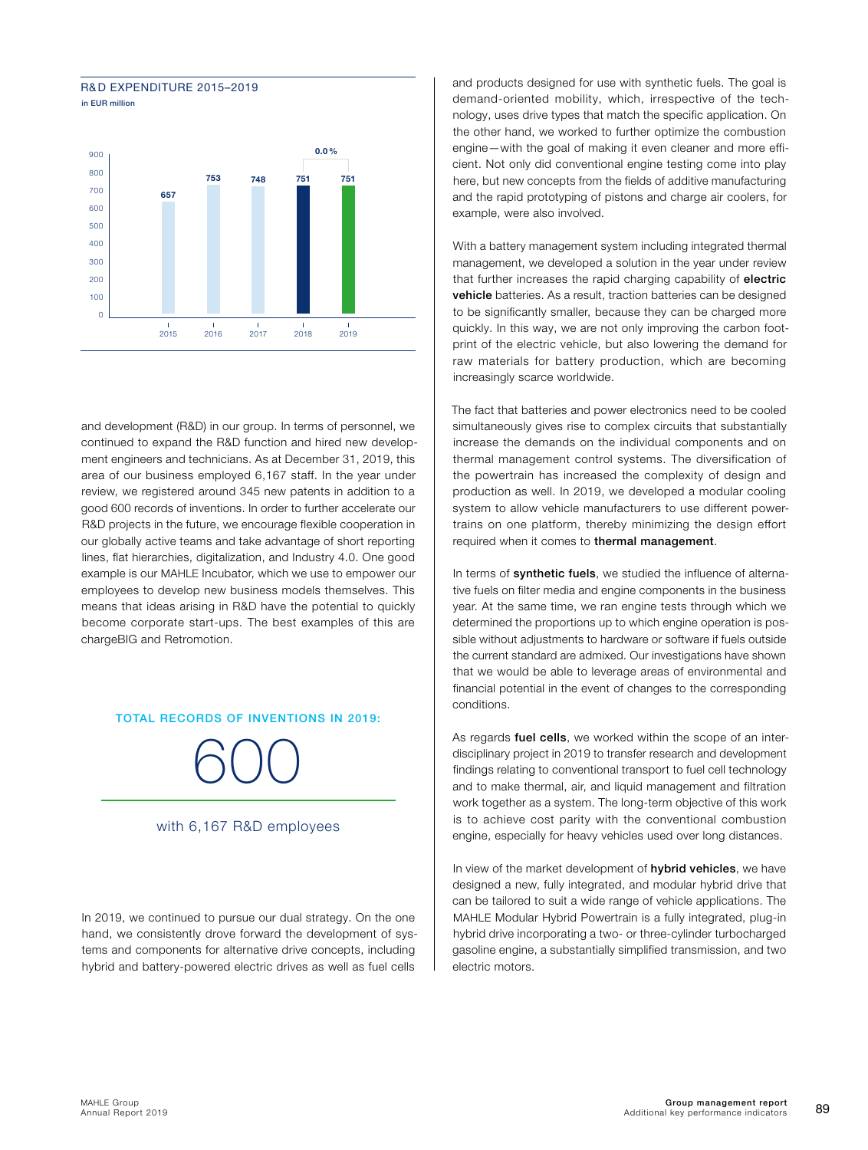



and development (R&D) in our group. In terms of personnel, we continued to expand the R&D function and hired new development engineers and technicians. As at December 31, 2019, this area of our business employed 6,167 staff. In the year under review, we registered around 345 new patents in addition to a good 600 records of inventions. In order to further accelerate our R&D projects in the future, we encourage flexible cooperation in our globally active teams and take advantage of short reporting lines, flat hierarchies, digitalization, and Industry 4.0. One good example is our MAHLE Incubator, which we use to empower our employees to develop new business models themselves. This means that ideas arising in R&D have the potential to quickly become corporate start-ups. The best examples of this are chargeBIG and Retromotion.

TOTAL RECORDS OF INVENTIONS IN 2019:

600

#### with 6,167 R&D employees

In 2019, we continued to pursue our dual strategy. On the one hand, we consistently drove forward the development of systems and components for alternative drive concepts, including hybrid and battery-powered electric drives as well as fuel cells

and products designed for use with synthetic fuels. The goal is demand-oriented mobility, which, irrespective of the technology, uses drive types that match the specific application. On the other hand, we worked to further optimize the combustion engine—with the goal of making it even cleaner and more efficient. Not only did conventional engine testing come into play here, but new concepts from the fields of additive manufacturing and the rapid prototyping of pistons and charge air coolers, for example, were also involved.

With a battery management system including integrated thermal management, we developed a solution in the year under review that further increases the rapid charging capability of electric vehicle batteries. As a result, traction batteries can be designed to be significantly smaller, because they can be charged more quickly. In this way, we are not only improving the carbon footprint of the electric vehicle, but also lowering the demand for raw materials for battery production, which are becoming increasingly scarce worldwide.

The fact that batteries and power electronics need to be cooled simultaneously gives rise to complex circuits that substantially increase the demands on the individual components and on thermal management control systems. The diversification of the powertrain has increased the complexity of design and production as well. In 2019, we developed a modular cooling system to allow vehicle manufacturers to use different powertrains on one platform, thereby minimizing the design effort required when it comes to thermal management.

In terms of synthetic fuels, we studied the influence of alternative fuels on filter media and engine components in the business year. At the same time, we ran engine tests through which we determined the proportions up to which engine operation is possible without adjustments to hardware or software if fuels outside the current standard are admixed. Our investigations have shown that we would be able to leverage areas of environmental and financial potential in the event of changes to the corresponding conditions.

As regards fuel cells, we worked within the scope of an interdisciplinary project in 2019 to transfer research and development findings relating to conventional transport to fuel cell technology and to make thermal, air, and liquid management and filtration work together as a system. The long-term objective of this work is to achieve cost parity with the conventional combustion engine, especially for heavy vehicles used over long distances.

In view of the market development of hybrid vehicles, we have designed a new, fully integrated, and modular hybrid drive that can be tailored to suit a wide range of vehicle applications. The MAHLE Modular Hybrid Powertrain is a fully integrated, plug-in hybrid drive incorporating a two- or three-cylinder turbocharged gasoline engine, a substantially simplified transmission, and two electric motors.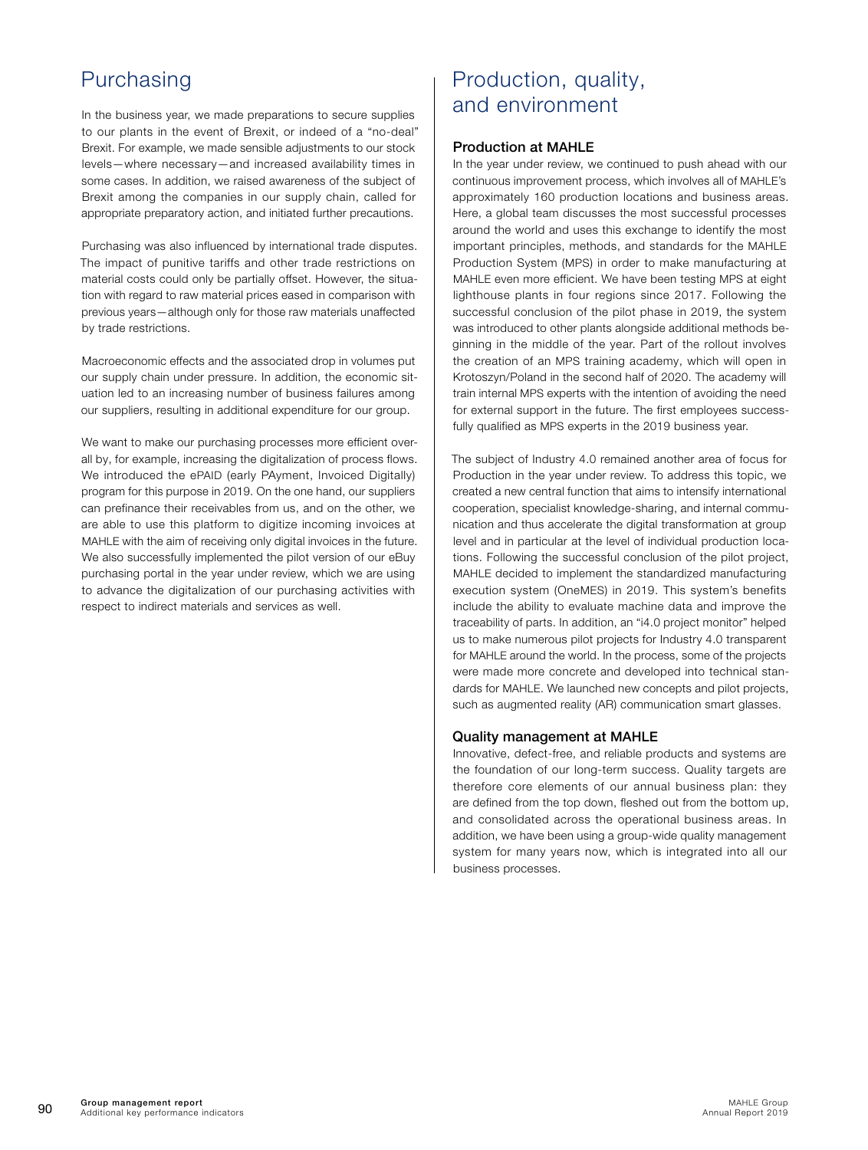## <span id="page-18-0"></span>Purchasing

In the business year, we made preparations to secure supplies to our plants in the event of Brexit, or indeed of a "no-deal" Brexit. For example, we made sensible adjustments to our stock levels—where necessary—and increased availability times in some cases. In addition, we raised awareness of the subject of Brexit among the companies in our supply chain, called for appropriate preparatory action, and initiated further precautions.

Purchasing was also influenced by international trade disputes. The impact of punitive tariffs and other trade restrictions on material costs could only be partially offset. However, the situation with regard to raw material prices eased in comparison with previous years—although only for those raw materials unaffected by trade restrictions.

Macroeconomic effects and the associated drop in volumes put our supply chain under pressure. In addition, the economic situation led to an increasing number of business failures among our suppliers, resulting in additional expenditure for our group.

We want to make our purchasing processes more efficient overall by, for example, increasing the digitalization of process flows. We introduced the ePAID (early PAyment, Invoiced Digitally) program for this purpose in 2019. On the one hand, our suppliers can prefinance their receivables from us, and on the other, we are able to use this platform to digitize incoming invoices at MAHLE with the aim of receiving only digital invoices in the future. We also successfully implemented the pilot version of our eBuy purchasing portal in the year under review, which we are using to advance the digitalization of our purchasing activities with respect to indirect materials and services as well.

## Production, quality, and environment

#### Production at MAHLE

In the year under review, we continued to push ahead with our continuous improvement process, which involves all of MAHLE's approximately 160 production locations and business areas. Here, a global team discusses the most successful processes around the world and uses this exchange to identify the most important principles, methods, and standards for the MAHLE Production System (MPS) in order to make manufacturing at MAHLE even more efficient. We have been testing MPS at eight lighthouse plants in four regions since 2017. Following the successful conclusion of the pilot phase in 2019, the system was introduced to other plants alongside additional methods beginning in the middle of the year. Part of the rollout involves the creation of an MPS training academy, which will open in Krotoszyn/Poland in the second half of 2020. The academy will train internal MPS experts with the intention of avoiding the need for external support in the future. The first employees successfully qualified as MPS experts in the 2019 business year.

The subject of Industry 4.0 remained another area of focus for Production in the year under review. To address this topic, we created a new central function that aims to intensify international cooperation, specialist knowledge-sharing, and internal communication and thus accelerate the digital transformation at group level and in particular at the level of individual production locations. Following the successful conclusion of the pilot project, MAHLE decided to implement the standardized manufacturing execution system (OneMES) in 2019. This system's benefits include the ability to evaluate machine data and improve the traceability of parts. In addition, an "i4.0 project monitor" helped us to make numerous pilot projects for Industry 4.0 transparent for MAHLE around the world. In the process, some of the projects were made more concrete and developed into technical standards for MAHLE. We launched new concepts and pilot projects, such as augmented reality (AR) communication smart glasses.

#### Quality management at MAHLE

Innovative, defect-free, and reliable products and systems are the foundation of our long-term success. Quality targets are therefore core elements of our annual business plan: they are defined from the top down, fleshed out from the bottom up, and consolidated across the operational business areas. In addition, we have been using a group-wide quality management system for many years now, which is integrated into all our business processes.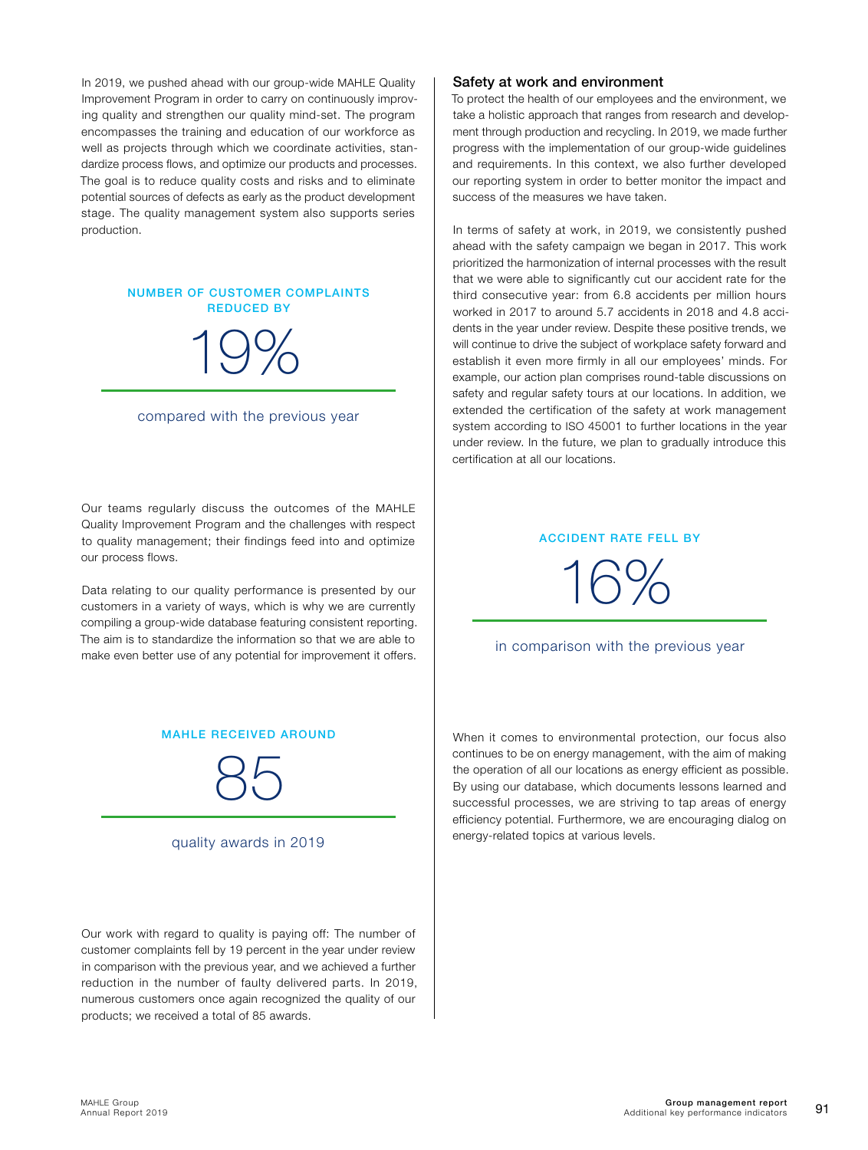In 2019, we pushed ahead with our group-wide MAHLE Quality Improvement Program in order to carry on continuously improving quality and strengthen our quality mind-set. The program encompasses the training and education of our workforce as well as projects through which we coordinate activities, standardize process flows, and optimize our products and processes. The goal is to reduce quality costs and risks and to eliminate potential sources of defects as early as the product development stage. The quality management system also supports series production.

#### NUMBER OF CUSTOMER COMPLAINTS REDUCED BY

# 19%

#### compared with the previous year

Our teams regularly discuss the outcomes of the MAHLE Quality Improvement Program and the challenges with respect to quality management; their findings feed into and optimize our process flows.

Data relating to our quality performance is presented by our customers in a variety of ways, which is why we are currently compiling a group-wide database featuring consistent reporting. The aim is to standardize the information so that we are able to make even better use of any potential for improvement it offers.

#### MAHLE RECEIVED AROUND



quality awards in 2019

Our work with regard to quality is paying off: The number of customer complaints fell by 19 percent in the year under review in comparison with the previous year, and we achieved a further reduction in the number of faulty delivered parts. In 2019, numerous customers once again recognized the quality of our products; we received a total of 85 awards.

#### Safety at work and environment

To protect the health of our employees and the environment, we take a holistic approach that ranges from research and development through production and recycling. In 2019, we made further progress with the implementation of our group-wide guidelines and requirements. In this context, we also further developed our reporting system in order to better monitor the impact and success of the measures we have taken.

In terms of safety at work, in 2019, we consistently pushed ahead with the safety campaign we began in 2017. This work prioritized the harmonization of internal processes with the result that we were able to significantly cut our accident rate for the third consecutive year: from 6.8 accidents per million hours worked in 2017 to around 5.7 accidents in 2018 and 4.8 accidents in the year under review. Despite these positive trends, we will continue to drive the subject of workplace safety forward and establish it even more firmly in all our employees' minds. For example, our action plan comprises round-table discussions on safety and regular safety tours at our locations. In addition, we extended the certification of the safety at work management system according to ISO 45001 to further locations in the year under review. In the future, we plan to gradually introduce this certification at all our locations.

#### ACCIDENT RATE FELL BY

16%

#### in comparison with the previous year

When it comes to environmental protection, our focus also continues to be on energy management, with the aim of making the operation of all our locations as energy efficient as possible. By using our database, which documents lessons learned and successful processes, we are striving to tap areas of energy efficiency potential. Furthermore, we are encouraging dialog on energy-related topics at various levels.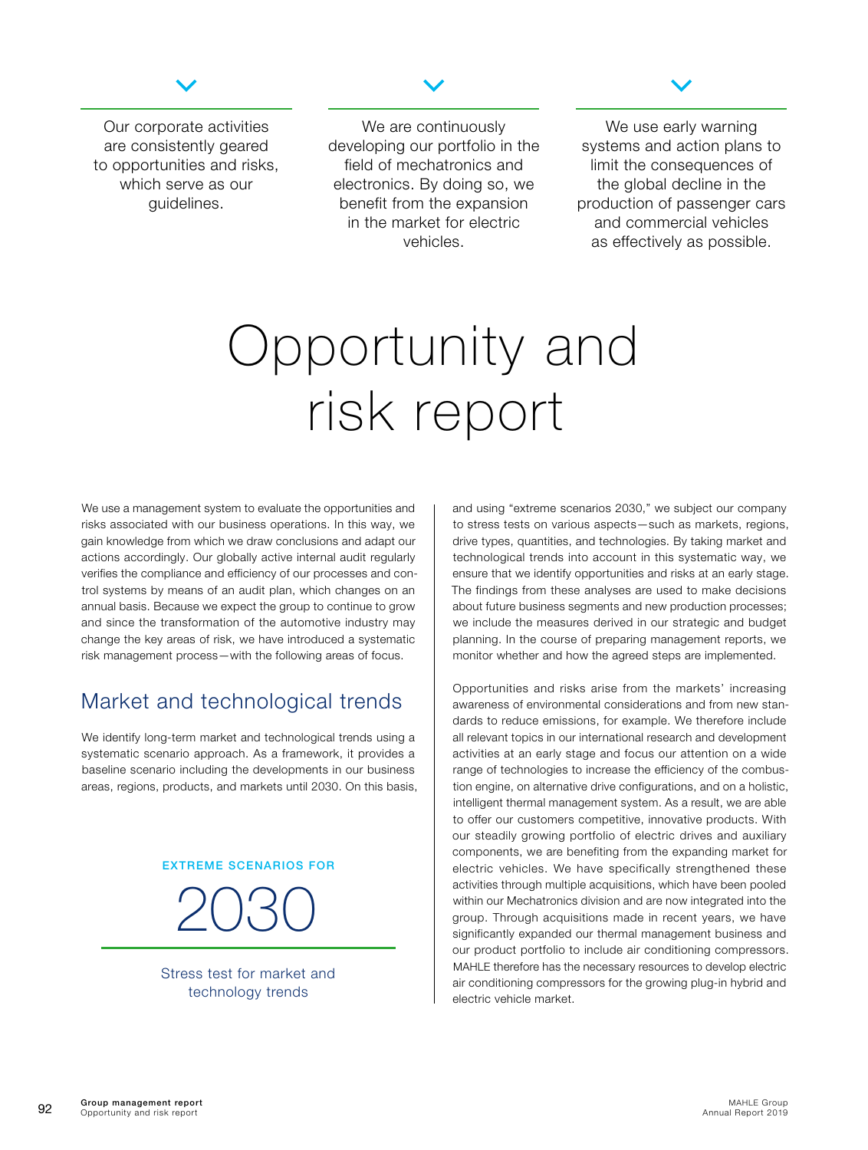

<span id="page-20-0"></span>Our corporate activities are consistently geared to opportunities and risks, which serve as our guidelines.

We are continuously developing our portfolio in the field of mechatronics and electronics. By doing so, we benefit from the expansion in the market for electric vehicles.



We use early warning systems and action plans to limit the consequences of the global decline in the production of passenger cars and commercial vehicles as effectively as possible.

# Opportunity and risk report

We use a management system to evaluate the opportunities and risks associated with our business operations. In this way, we gain knowledge from which we draw conclusions and adapt our actions accordingly. Our globally active internal audit regularly verifies the compliance and efficiency of our processes and control systems by means of an audit plan, which changes on an annual basis. Because we expect the group to continue to grow and since the transformation of the automotive industry may change the key areas of risk, we have introduced a systematic risk management process—with the following areas of focus.

## Market and technological trends

We identify long-term market and technological trends using a systematic scenario approach. As a framework, it provides a baseline scenario including the developments in our business areas, regions, products, and markets until 2030. On this basis,

#### EXTREME SCENARIOS FOR

2030

Stress test for market and technology trends

and using "extreme scenarios 2030," we subject our company to stress tests on various aspects—such as markets, regions, drive types, quantities, and technologies. By taking market and technological trends into account in this systematic way, we ensure that we identify opportunities and risks at an early stage. The findings from these analyses are used to make decisions about future business segments and new production processes; we include the measures derived in our strategic and budget planning. In the course of preparing management reports, we monitor whether and how the agreed steps are implemented.

Opportunities and risks arise from the markets' increasing awareness of environmental considerations and from new standards to reduce emissions, for example. We therefore include all relevant topics in our international research and development activities at an early stage and focus our attention on a wide range of technologies to increase the efficiency of the combustion engine, on alternative drive configurations, and on a holistic, intelligent thermal management system. As a result, we are able to offer our customers competitive, innovative products. With our steadily growing portfolio of electric drives and auxiliary components, we are benefiting from the expanding market for electric vehicles. We have specifically strengthened these activities through multiple acquisitions, which have been pooled within our Mechatronics division and are now integrated into the group. Through acquisitions made in recent years, we have significantly expanded our thermal management business and our product portfolio to include air conditioning compressors. MAHLE therefore has the necessary resources to develop electric air conditioning compressors for the growing plug-in hybrid and electric vehicle market.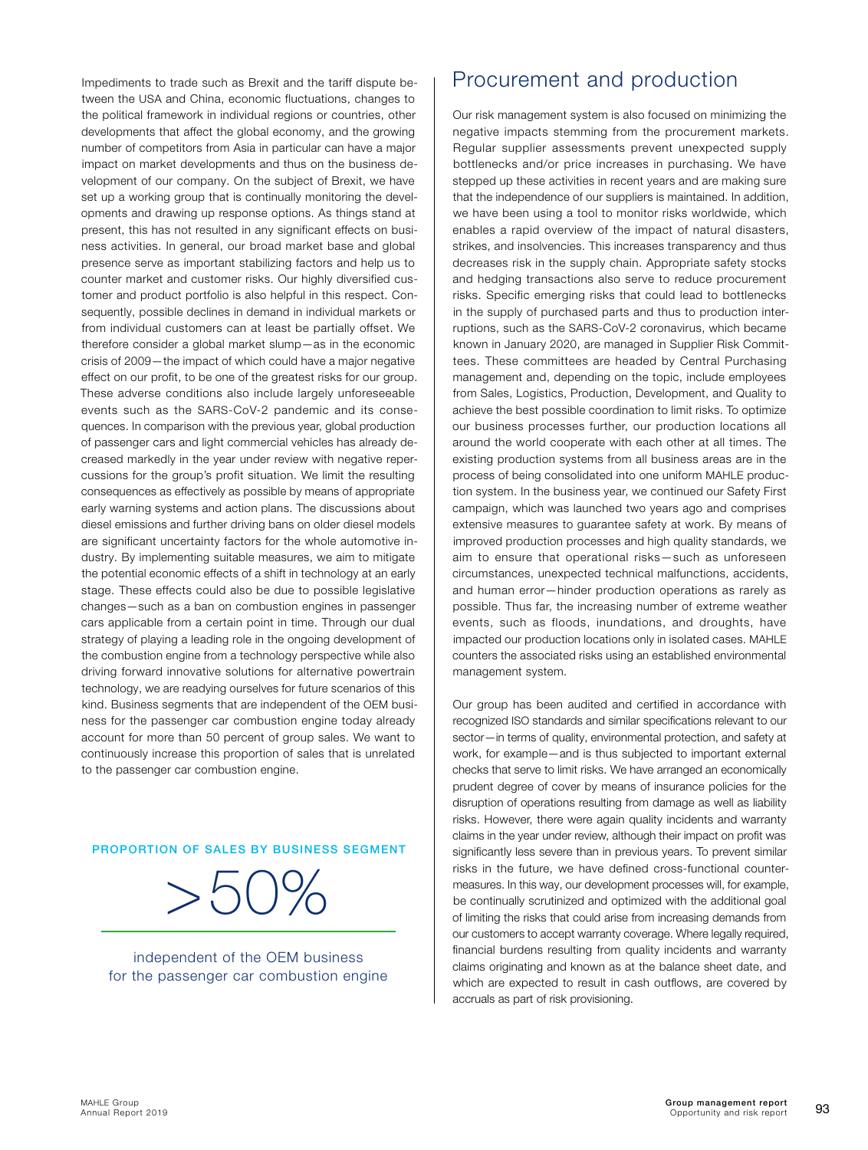Impediments to trade such as Brexit and the tariff dispute between the USA and China, economic fluctuations, changes to the political framework in individual regions or countries, other developments that affect the global economy, and the growing number of competitors from Asia in particular can have a major impact on market developments and thus on the business development of our company. On the subject of Brexit, we have set up a working group that is continually monitoring the developments and drawing up response options. As things stand at present, this has not resulted in any significant effects on business activities. In general, our broad market base and global presence serve as important stabilizing factors and help us to counter market and customer risks. Our highly diversified customer and product portfolio is also helpful in this respect. Consequently, possible declines in demand in individual markets or from individual customers can at least be partially offset. We therefore consider a global market slump—as in the economic crisis of 2009—the impact of which could have a major negative effect on our profit, to be one of the greatest risks for our group. These adverse conditions also include largely unforeseeable events such as the SARS-CoV-2 pandemic and its consequences. In comparison with the previous year, global production of passenger cars and light commercial vehicles has already decreased markedly in the year under review with negative repercussions for the group's profit situation. We limit the resulting consequences as effectively as possible by means of appropriate early warning systems and action plans. The discussions about diesel emissions and further driving bans on older diesel models are significant uncertainty factors for the whole automotive industry. By implementing suitable measures, we aim to mitigate the potential economic effects of a shift in technology at an early stage. These effects could also be due to possible legislative changes—such as a ban on combustion engines in passenger cars applicable from a certain point in time. Through our dual strategy of playing a leading role in the ongoing development of the combustion engine from a technology perspective while also driving forward innovative solutions for alternative powertrain technology, we are readying ourselves for future scenarios of this kind. Business segments that are independent of the OEM business for the passenger car combustion engine today already account for more than 50 percent of group sales. We want to continuously increase this proportion of sales that is unrelated to the passenger car combustion engine.

PROPORTION OF SALES BY BUSINESS SEGMENT

 $>50\%$ 



### Procurement and production

Our risk management system is also focused on minimizing the negative impacts stemming from the procurement markets. Regular supplier assessments prevent unexpected supply bottlenecks and/or price increases in purchasing. We have stepped up these activities in recent years and are making sure that the independence of our suppliers is maintained. In addition, we have been using a tool to monitor risks worldwide, which enables a rapid overview of the impact of natural disasters, strikes, and insolvencies. This increases transparency and thus decreases risk in the supply chain. Appropriate safety stocks and hedging transactions also serve to reduce procurement risks. Specific emerging risks that could lead to bottlenecks in the supply of purchased parts and thus to production interruptions, such as the SARS-CoV-2 coronavirus, which became known in January 2020, are managed in Supplier Risk Committees. These committees are headed by Central Purchasing management and, depending on the topic, include employees from Sales, Logistics, Production, Development, and Quality to achieve the best possible coordination to limit risks. To optimize our business processes further, our production locations all around the world cooperate with each other at all times. The existing production systems from all business areas are in the process of being consolidated into one uniform MAHLE production system. In the business year, we continued our Safety First campaign, which was launched two years ago and comprises extensive measures to guarantee safety at work. By means of improved production processes and high quality standards, we aim to ensure that operational risks—such as unforeseen circumstances, unexpected technical malfunctions, accidents, and human error—hinder production operations as rarely as possible. Thus far, the increasing number of extreme weather events, such as floods, inundations, and droughts, have impacted our production locations only in isolated cases. MAHLE counters the associated risks using an established environmental management system.

Our group has been audited and certified in accordance with recognized ISO standards and similar specifications relevant to our sector—in terms of quality, environmental protection, and safety at work, for example—and is thus subjected to important external checks that serve to limit risks. We have arranged an economically prudent degree of cover by means of insurance policies for the disruption of operations resulting from damage as well as liability risks. However, there were again quality incidents and warranty claims in the year under review, although their impact on profit was significantly less severe than in previous years. To prevent similar risks in the future, we have defined cross-functional countermeasures. In this way, our development processes will, for example, be continually scrutinized and optimized with the additional goal of limiting the risks that could arise from increasing demands from our customers to accept warranty coverage. Where legally required, financial burdens resulting from quality incidents and warranty claims originating and known as at the balance sheet date, and which are expected to result in cash outflows, are covered by accruals as part of risk provisioning.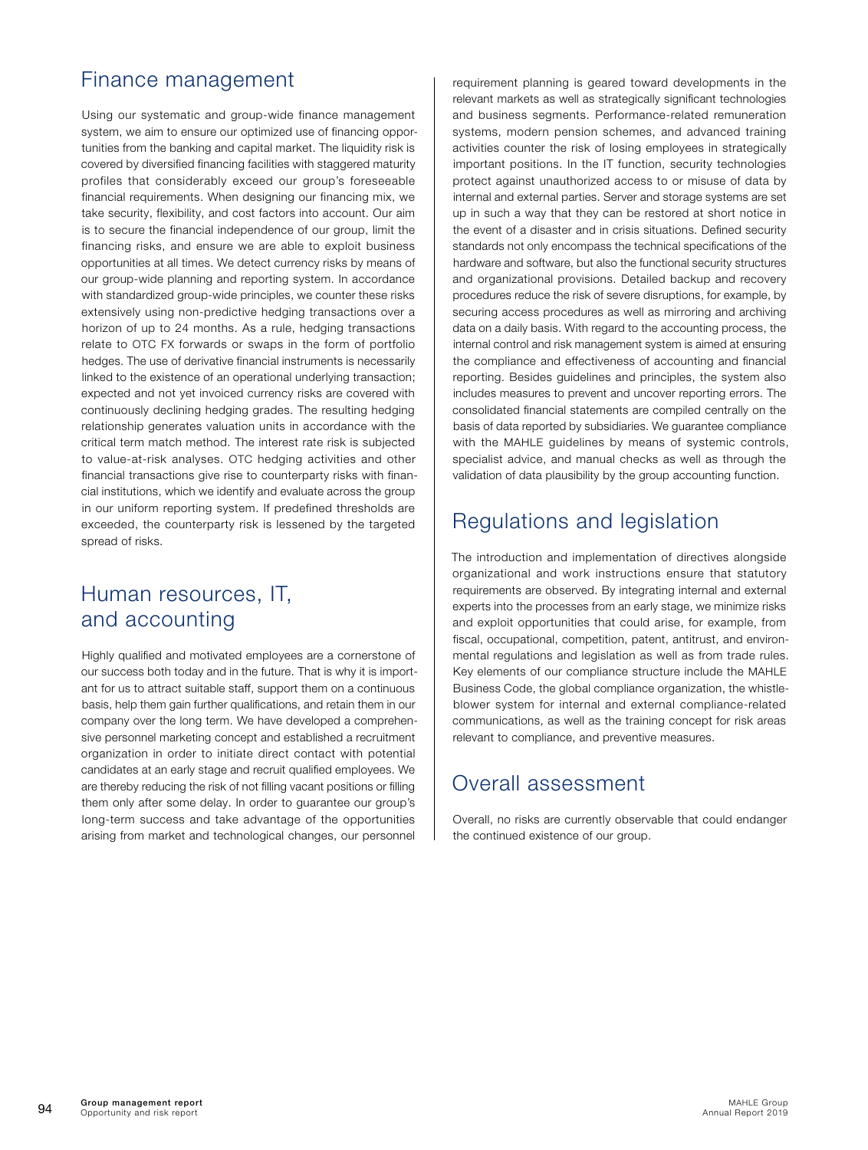## Finance management

Using our systematic and group-wide finance management system, we aim to ensure our optimized use of financing opportunities from the banking and capital market. The liquidity risk is covered by diversified financing facilities with staggered maturity profiles that considerably exceed our group's foreseeable financial requirements. When designing our financing mix, we take security, flexibility, and cost factors into account. Our aim is to secure the financial independence of our group, limit the financing risks, and ensure we are able to exploit business opportunities at all times. We detect currency risks by means of our group-wide planning and reporting system. In accordance with standardized group-wide principles, we counter these risks extensively using non-predictive hedging transactions over a horizon of up to 24 months. As a rule, hedging transactions relate to OTC FX forwards or swaps in the form of portfolio hedges. The use of derivative financial instruments is necessarily linked to the existence of an operational underlying transaction; expected and not yet invoiced currency risks are covered with continuously declining hedging grades. The resulting hedging relationship generates valuation units in accordance with the critical term match method. The interest rate risk is subjected to value-at-risk analyses. OTC hedging activities and other financial transactions give rise to counterparty risks with financial institutions, which we identify and evaluate across the group in our uniform reporting system. If predefined thresholds are exceeded, the counterparty risk is lessened by the targeted spread of risks.

## Human resources, IT, and accounting

Highly qualified and motivated employees are a cornerstone of our success both today and in the future. That is why it is important for us to attract suitable staff, support them on a continuous basis, help them gain further qualifications, and retain them in our company over the long term. We have developed a comprehensive personnel marketing concept and established a recruitment organization in order to initiate direct contact with potential candidates at an early stage and recruit qualified employees. We are thereby reducing the risk of not filling vacant positions or filling them only after some delay. In order to guarantee our group's long-term success and take advantage of the opportunities arising from market and technological changes, our personnel

requirement planning is geared toward developments in the relevant markets as well as strategically significant technologies and business segments. Performance-related remuneration systems, modern pension schemes, and advanced training activities counter the risk of losing employees in strategically important positions. In the IT function, security technologies protect against unauthorized access to or misuse of data by internal and external parties. Server and storage systems are set up in such a way that they can be restored at short notice in the event of a disaster and in crisis situations. Defined security standards not only encompass the technical specifications of the hardware and software, but also the functional security structures and organizational provisions. Detailed backup and recovery procedures reduce the risk of severe disruptions, for example, by securing access procedures as well as mirroring and archiving data on a daily basis. With regard to the accounting process, the internal control and risk management system is aimed at ensuring the compliance and effectiveness of accounting and financial reporting. Besides guidelines and principles, the system also includes measures to prevent and uncover reporting errors. The consolidated financial statements are compiled centrally on the basis of data reported by subsidiaries. We guarantee compliance with the MAHLE guidelines by means of systemic controls, specialist advice, and manual checks as well as through the validation of data plausibility by the group accounting function.

## Regulations and legislation

The introduction and implementation of directives alongside organizational and work instructions ensure that statutory requirements are observed. By integrating internal and external experts into the processes from an early stage, we minimize risks and exploit opportunities that could arise, for example, from fiscal, occupational, competition, patent, antitrust, and environmental regulations and legislation as well as from trade rules. Key elements of our compliance structure include the MAHLE Business Code, the global compliance organization, the whistleblower system for internal and external compliance-related communications, as well as the training concept for risk areas relevant to compliance, and preventive measures.

## Overall assessment

Overall, no risks are currently observable that could endanger the continued existence of our group.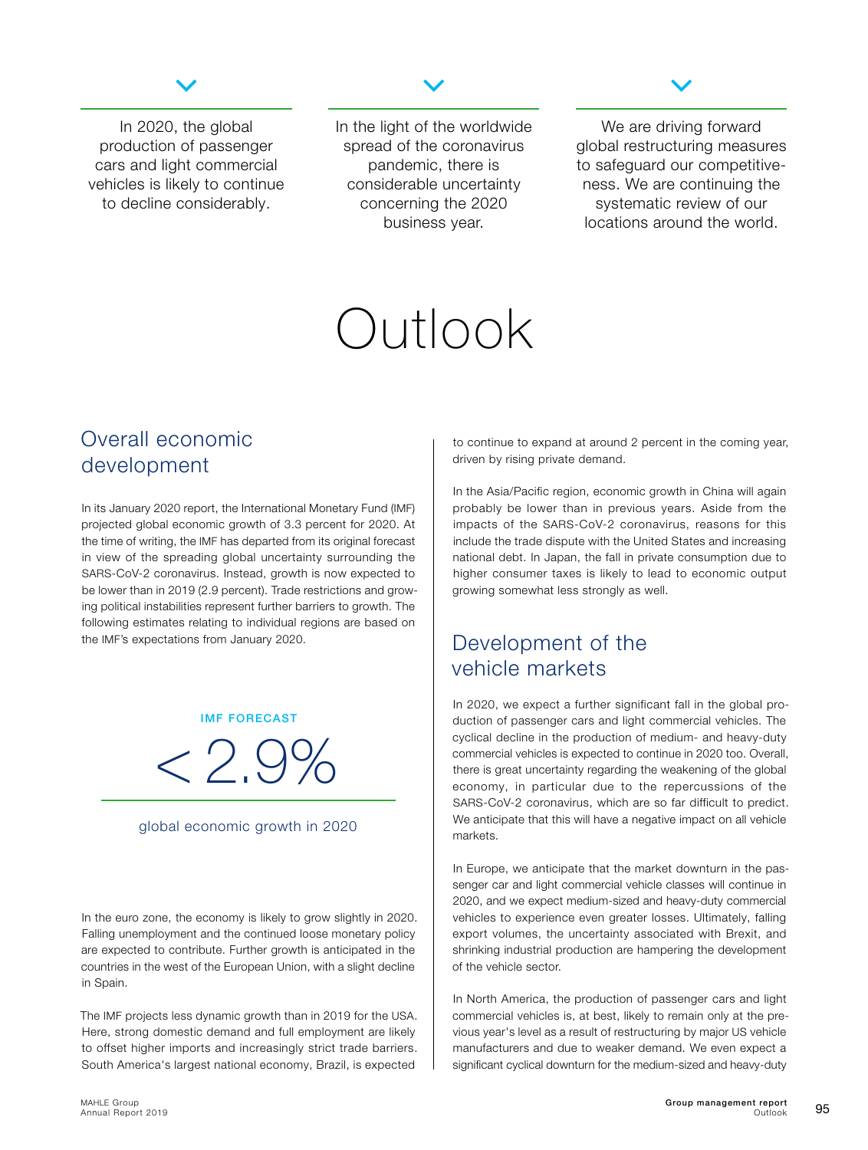

<span id="page-23-0"></span>In 2020, the global production of passenger cars and light commercial vehicles is likely to continue to decline considerably.

In the light of the worldwide spread of the coronavirus pandemic, there is considerable uncertainty concerning the 2020 business year.



We are driving forward global restructuring measures to safeguard our competitiveness. We are continuing the systematic review of our locations around the world.

# Outlook

## Overall economic development

In its January 2020 report, the International Monetary Fund (IMF) projected global economic growth of 3.3 percent for 2020. At the time of writing, the IMF has departed from its original forecast in view of the spreading global uncertainty surrounding the SARS-CoV-2 coronavirus. Instead, growth is now expected to be lower than in 2019 (2.9 percent). Trade restrictions and growing political instabilities represent further barriers to growth. The following estimates relating to individual regions are based on the IMF's expectations from January 2020.

IMF FORECAST



#### global economic growth in 2020

In the euro zone, the economy is likely to grow slightly in 2020. Falling unemployment and the continued loose monetary policy are expected to contribute. Further growth is anticipated in the countries in the west of the European Union, with a slight decline in Spain.

The IMF projects less dynamic growth than in 2019 for the USA. Here, strong domestic demand and full employment are likely to offset higher imports and increasingly strict trade barriers. South America's largest national economy, Brazil, is expected

to continue to expand at around 2 percent in the coming year, driven by rising private demand.

In the Asia/Pacific region, economic growth in China will again probably be lower than in previous years. Aside from the impacts of the SARS-CoV-2 coronavirus, reasons for this include the trade dispute with the United States and increasing national debt. In Japan, the fall in private consumption due to higher consumer taxes is likely to lead to economic output growing somewhat less strongly as well.

## Development of the vehicle markets

In 2020, we expect a further significant fall in the global production of passenger cars and light commercial vehicles. The cyclical decline in the production of medium- and heavy-duty commercial vehicles is expected to continue in 2020 too. Overall, there is great uncertainty regarding the weakening of the global economy, in particular due to the repercussions of the SARS-CoV-2 coronavirus, which are so far difficult to predict. We anticipate that this will have a negative impact on all vehicle markets.

In Europe, we anticipate that the market downturn in the passenger car and light commercial vehicle classes will continue in 2020, and we expect medium-sized and heavy-duty commercial vehicles to experience even greater losses. Ultimately, falling export volumes, the uncertainty associated with Brexit, and shrinking industrial production are hampering the development of the vehicle sector.

In North America, the production of passenger cars and light commercial vehicles is, at best, likely to remain only at the previous year's level as a result of restructuring by major US vehicle manufacturers and due to weaker demand. We even expect a significant cyclical downturn for the medium-sized and heavy-duty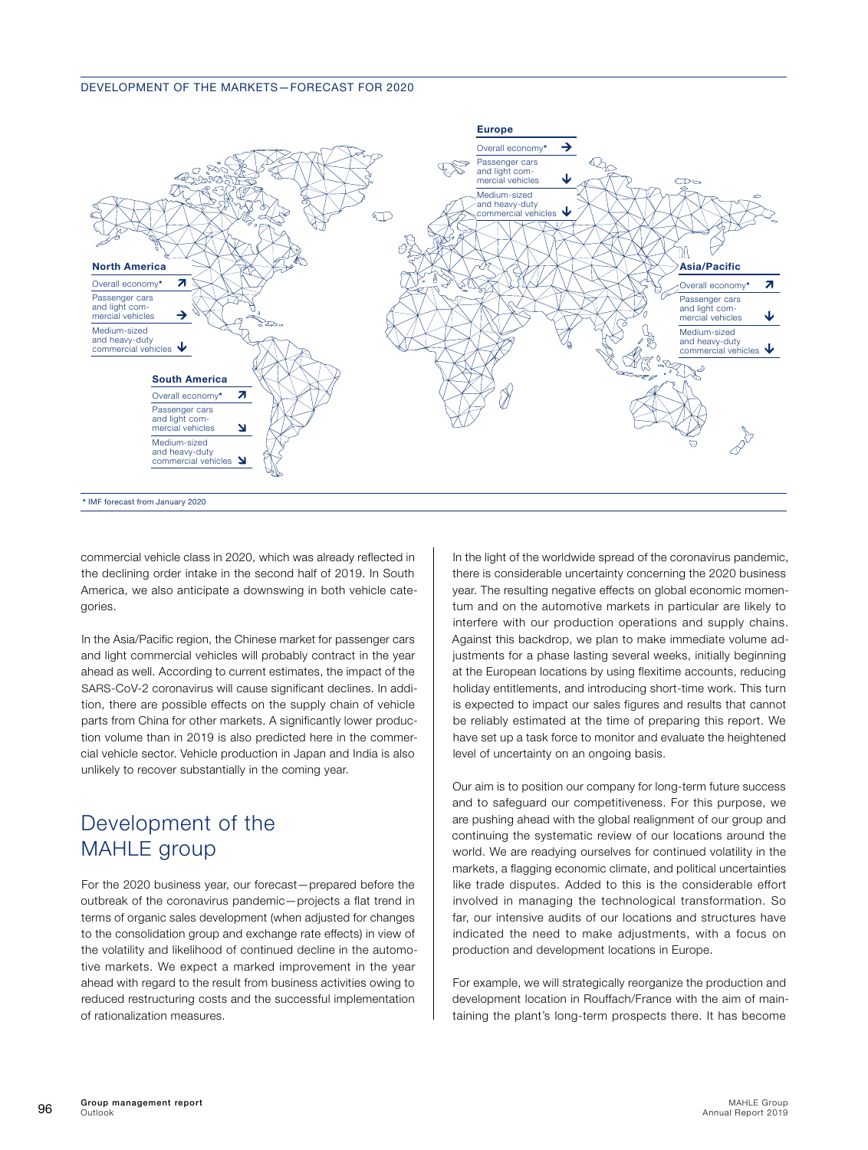#### DEVELOPMENT OF THE MARKETS—FORECAST FOR 2020



commercial vehicle class in 2020, which was already reflected in the declining order intake in the second half of 2019. In South America, we also anticipate a downswing in both vehicle categories.

In the Asia/Pacific region, the Chinese market for passenger cars and light commercial vehicles will probably contract in the year ahead as well. According to current estimates, the impact of the SARS-CoV-2 coronavirus will cause significant declines. In addition, there are possible effects on the supply chain of vehicle parts from China for other markets. A significantly lower production volume than in 2019 is also predicted here in the commercial vehicle sector. Vehicle production in Japan and India is also unlikely to recover substantially in the coming year.

## Development of the MAHLE group

For the 2020 business year, our forecast—prepared before the outbreak of the coronavirus pandemic—projects a flat trend in terms of organic sales development (when adjusted for changes to the consolidation group and exchange rate effects) in view of the volatility and likelihood of continued decline in the automotive markets. We expect a marked improvement in the year ahead with regard to the result from business activities owing to reduced restructuring costs and the successful implementation of rationalization measures.

In the light of the worldwide spread of the coronavirus pandemic, there is considerable uncertainty concerning the 2020 business year. The resulting negative effects on global economic momentum and on the automotive markets in particular are likely to interfere with our production operations and supply chains. Against this backdrop, we plan to make immediate volume adjustments for a phase lasting several weeks, initially beginning at the European locations by using flexitime accounts, reducing holiday entitlements, and introducing short-time work. This turn is expected to impact our sales figures and results that cannot be reliably estimated at the time of preparing this report. We have set up a task force to monitor and evaluate the heightened level of uncertainty on an ongoing basis.

Our aim is to position our company for long-term future success and to safeguard our competitiveness. For this purpose, we are pushing ahead with the global realignment of our group and continuing the systematic review of our locations around the world. We are readying ourselves for continued volatility in the markets, a flagging economic climate, and political uncertainties like trade disputes. Added to this is the considerable effort involved in managing the technological transformation. So far, our intensive audits of our locations and structures have indicated the need to make adjustments, with a focus on production and development locations in Europe.

For example, we will strategically reorganize the production and development location in Rouffach/France with the aim of maintaining the plant's long-term prospects there. It has become